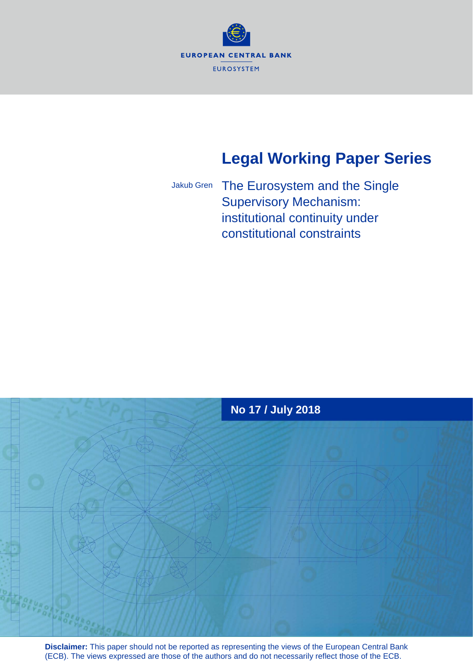

# **Legal Working Paper Series**

Jakub Gren

The Eurosystem and the Single Supervisory Mechanism: institutional continuity under constitutional constraints



**Disclaimer:** This paper should not be reported as representing the views of the European Central Bank (ECB). The views expressed are those of the authors and do not necessarily reflect those of the ECB.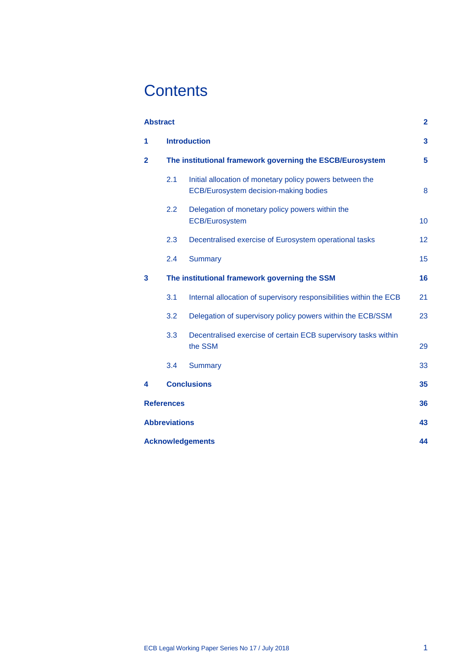# **Contents**

| <b>Abstract</b><br>2    |                                                           |                                                                                                   |    |
|-------------------------|-----------------------------------------------------------|---------------------------------------------------------------------------------------------------|----|
| 1                       | <b>Introduction</b>                                       |                                                                                                   | 3  |
| $\mathbf{2}$            | The institutional framework governing the ESCB/Eurosystem |                                                                                                   | 5  |
|                         | 2.1                                                       | Initial allocation of monetary policy powers between the<br>ECB/Eurosystem decision-making bodies | 8  |
|                         | 2.2                                                       | Delegation of monetary policy powers within the<br><b>ECB/Eurosystem</b>                          | 10 |
|                         | 2.3                                                       | Decentralised exercise of Eurosystem operational tasks                                            | 12 |
|                         | 2.4                                                       | <b>Summary</b>                                                                                    | 15 |
| 3                       |                                                           | The institutional framework governing the SSM                                                     | 16 |
|                         | 3.1                                                       | Internal allocation of supervisory responsibilities within the ECB                                | 21 |
|                         | 3.2                                                       | Delegation of supervisory policy powers within the ECB/SSM                                        | 23 |
|                         | 3.3                                                       | Decentralised exercise of certain ECB supervisory tasks within<br>the SSM                         | 29 |
|                         | 3.4                                                       | <b>Summary</b>                                                                                    | 33 |
| 4                       |                                                           | <b>Conclusions</b>                                                                                | 35 |
| <b>References</b>       |                                                           |                                                                                                   | 36 |
| <b>Abbreviations</b>    |                                                           |                                                                                                   | 43 |
| <b>Acknowledgements</b> |                                                           |                                                                                                   |    |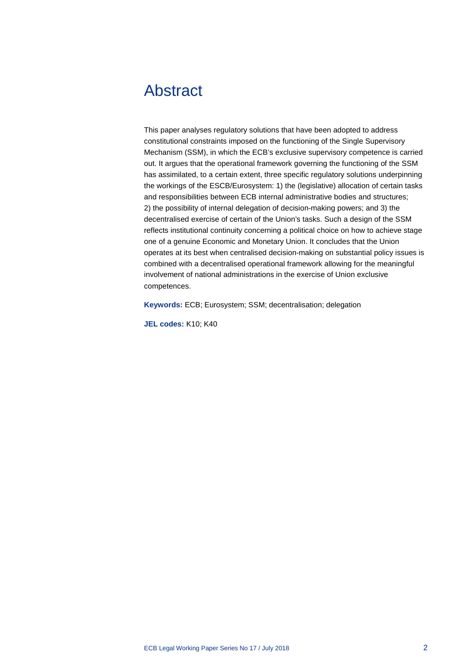## <span id="page-2-0"></span>Abstract

This paper analyses regulatory solutions that have been adopted to address constitutional constraints imposed on the functioning of the Single Supervisory Mechanism (SSM), in which the ECB's exclusive supervisory competence is carried out. It argues that the operational framework governing the functioning of the SSM has assimilated, to a certain extent, three specific regulatory solutions underpinning the workings of the ESCB/Eurosystem: 1) the (legislative) allocation of certain tasks and responsibilities between ECB internal administrative bodies and structures; 2) the possibility of internal delegation of decision-making powers; and 3) the decentralised exercise of certain of the Union's tasks. Such a design of the SSM reflects institutional continuity concerning a political choice on how to achieve stage one of a genuine Economic and Monetary Union. It concludes that the Union operates at its best when centralised decision-making on substantial policy issues is combined with a decentralised operational framework allowing for the meaningful involvement of national administrations in the exercise of Union exclusive competences.

**Keywords:** ECB; Eurosystem; SSM; decentralisation; delegation

**JEL codes:** K10; K40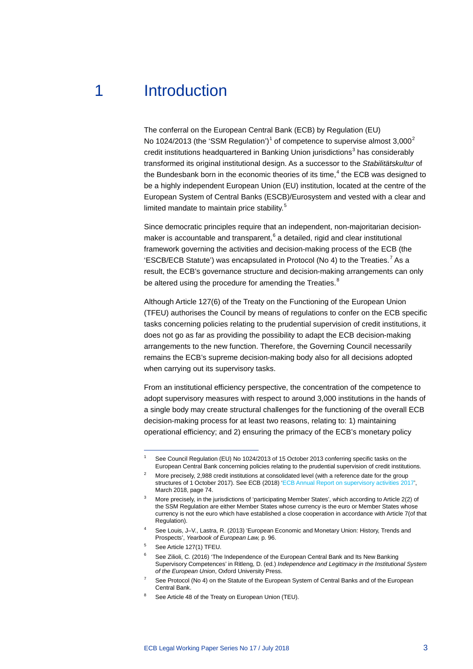## 1 Introduction

<span id="page-3-0"></span>The conferral on the European Central Bank (ECB) by Regulation (EU) No [1](#page-3-1)0[2](#page-3-2)4/2013 (the 'SSM Regulation')<sup>1</sup> of competence to supervise almost  $3,000^2$ credit institutions headquartered in Banking Union jurisdictions $3$  has considerably transformed its original institutional design. As a successor to the *Stabilitätskultur* of the Bundesbank born in the economic theories of its time, $<sup>4</sup>$  $<sup>4</sup>$  $<sup>4</sup>$  the ECB was designed to</sup> be a highly independent European Union (EU) institution, located at the centre of the European System of Central Banks (ESCB)/Eurosystem and vested with a clear and limited mandate to maintain price stability.<sup>[5](#page-3-5)</sup>

Since democratic principles require that an independent, non-majoritarian decisionmaker is accountable and transparent, $6$  a detailed, rigid and clear institutional framework governing the activities and decision-making process of the ECB (the 'ESCB/ECB Statute') was encapsulated in Protocol (No 4) to the Treaties.<sup>[7](#page-3-7)</sup> As a result, the ECB's governance structure and decision-making arrangements can only be altered using the procedure for amending the Treaties.<sup>[8](#page-3-8)</sup>

Although Article 127(6) of the Treaty on the Functioning of the European Union (TFEU) authorises the Council by means of regulations to confer on the ECB specific tasks concerning policies relating to the prudential supervision of credit institutions, it does not go as far as providing the possibility to adapt the ECB decision-making arrangements to the new function. Therefore, the Governing Council necessarily remains the ECB's supreme decision-making body also for all decisions adopted when carrying out its supervisory tasks.

From an institutional efficiency perspective, the concentration of the competence to adopt supervisory measures with respect to around 3,000 institutions in the hands of a single body may create structural challenges for the functioning of the overall ECB decision-making process for at least two reasons, relating to: 1) maintaining operational efficiency; and 2) ensuring the primacy of the ECB's monetary policy

-

<span id="page-3-7"></span>See Protocol (No 4) on the Statute of the European System of Central Banks and of the European Central Bank.

See Council Regulation (EU) No 1024/2013 of 15 October 2013 conferring specific tasks on the European Central Bank concerning policies relating to the prudential supervision of credit institutions.

<span id="page-3-2"></span><span id="page-3-1"></span><sup>&</sup>lt;sup>2</sup> More precisely, 2,988 credit institutions at consolidated level (with a reference date for the group structures of 1 October 2017). See ECB (2018) ['ECB Annual Report on supervisory activities 2017',](https://www.bankingsupervision.europa.eu/press/publications/annual-report/html/index.en.html) March 2018, page 74.

<span id="page-3-3"></span><sup>3</sup> More precisely, in the jurisdictions of 'participating Member States', which according to Article 2(2) of the SSM Regulation are either Member States whose currency is the euro or Member States whose currency is not the euro which have established a close cooperation in accordance with Article 7(of that Regulation).

<sup>4</sup> See Louis, J–V., Lastra, R. (2013) 'European Economic and Monetary Union: History, Trends and Prospects', *Yearbook of European Law,* p. 96.

<span id="page-3-6"></span><span id="page-3-5"></span><span id="page-3-4"></span><sup>5</sup> See Article 127(1) TFEU.

<sup>6</sup> See Zilioli, C. (2016) 'The Independence of the European Central Bank and Its New Banking Supervisory Competences' in Ritleng, D. (ed.) *Independence and Legitimacy in the Institutional System of the European Union*, Oxford University Press.

<span id="page-3-8"></span>See Article 48 of the Treaty on European Union (TEU).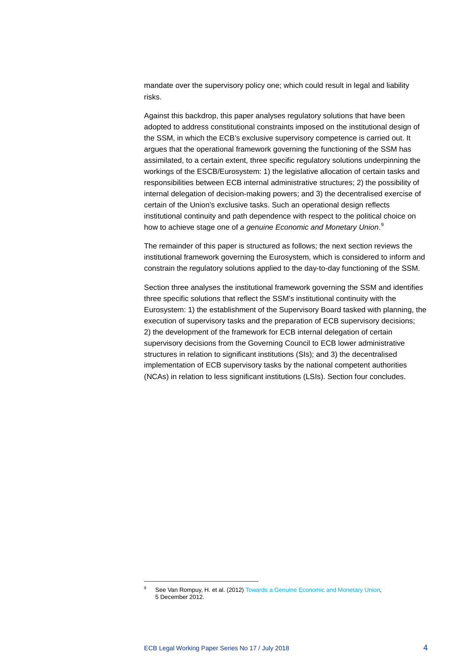mandate over the supervisory policy one; which could result in legal and liability risks.

Against this backdrop, this paper analyses regulatory solutions that have been adopted to address constitutional constraints imposed on the institutional design of the SSM, in which the ECB's exclusive supervisory competence is carried out. It argues that the operational framework governing the functioning of the SSM has assimilated, to a certain extent, three specific regulatory solutions underpinning the workings of the ESCB/Eurosystem: 1) the legislative allocation of certain tasks and responsibilities between ECB internal administrative structures; 2) the possibility of internal delegation of decision-making powers; and 3) the decentralised exercise of certain of the Union's exclusive tasks. Such an operational design reflects institutional continuity and path dependence with respect to the political choice on how to achieve stage one of *a genuine Economic and Monetary Union*. [9](#page-4-0)

The remainder of this paper is structured as follows; the next section reviews the institutional framework governing the Eurosystem, which is considered to inform and constrain the regulatory solutions applied to the day-to-day functioning of the SSM.

Section three analyses the institutional framework governing the SSM and identifies three specific solutions that reflect the SSM's institutional continuity with the Eurosystem: 1) the establishment of the Supervisory Board tasked with planning, the execution of supervisory tasks and the preparation of ECB supervisory decisions; 2) the development of the framework for ECB internal delegation of certain supervisory decisions from the Governing Council to ECB lower administrative structures in relation to significant institutions (SIs); and 3) the decentralised implementation of ECB supervisory tasks by the national competent authorities (NCAs) in relation to less significant institutions (LSIs). Section four concludes.

<span id="page-4-0"></span>See Van Rompuy, H. et al. (2012) Towards a Genuine Economic and Monetary Union, 5 December 2012.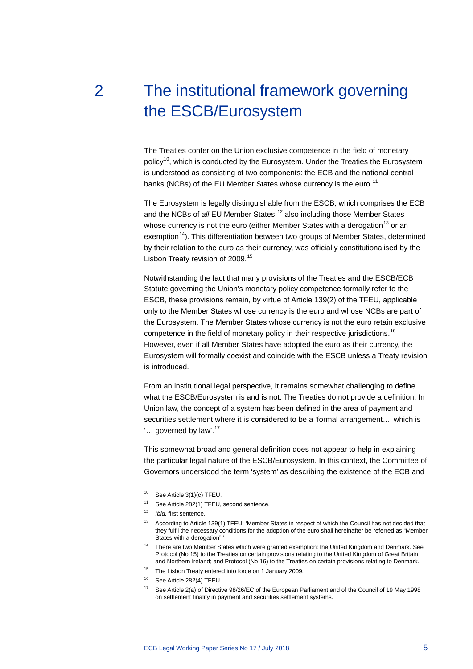# <span id="page-5-0"></span>2 The institutional framework governing the ESCB/Eurosystem

The Treaties confer on the Union exclusive competence in the field of monetary policy<sup>[10](#page-5-1)</sup>, which is conducted by the Eurosystem. Under the Treaties the Eurosystem is understood as consisting of two components: the ECB and the national central banks (NCBs) of the EU Member States whose currency is the euro.<sup>[11](#page-5-2)</sup>

The Eurosystem is legally distinguishable from the ESCB, which comprises the ECB and the NCBs of *all* EU Member States,<sup>[12](#page-5-3)</sup> also including those Member States whose currency is not the euro (either Member States with a derogation<sup>[13](#page-5-4)</sup> or an exemption<sup>14</sup>). This differentiation between two groups of Member States, determined by their relation to the euro as their currency, was officially constitutionalised by the Lisbon Treaty revision of 2009.<sup>[15](#page-5-6)</sup>

Notwithstanding the fact that many provisions of the Treaties and the ESCB/ECB Statute governing the Union's monetary policy competence formally refer to the ESCB, these provisions remain, by virtue of Article 139(2) of the TFEU, applicable only to the Member States whose currency is the euro and whose NCBs are part of the Eurosystem. The Member States whose currency is not the euro retain exclusive competence in the field of monetary policy in their respective jurisdictions.<sup>[16](#page-5-7)</sup> However, even if all Member States have adopted the euro as their currency, the Eurosystem will formally coexist and coincide with the ESCB unless a Treaty revision is introduced.

From an institutional legal perspective, it remains somewhat challenging to define what the ESCB/Eurosystem is and is not. The Treaties do not provide a definition. In Union law, the concept of a system has been defined in the area of payment and securities settlement where it is considered to be a 'formal arrangement…' which is '... governed by law'.<sup>[17](#page-5-8)</sup>

This somewhat broad and general definition does not appear to help in explaining the particular legal nature of the ESCB/Eurosystem. In this context, the Committee of Governors understood the term 'system' as describing the existence of the ECB and

<span id="page-5-1"></span><sup>10</sup> See Article 3(1)(c) TFEU.

<span id="page-5-2"></span><sup>&</sup>lt;sup>11</sup> See Article 282(1) TFEU, second sentence.

<span id="page-5-3"></span><sup>12</sup> *Ibid,* first sentence.

<span id="page-5-4"></span><sup>13</sup> According to Article 139(1) TFEU: 'Member States in respect of which the Council has not decided that they fulfil the necessary conditions for the adoption of the euro shall hereinafter be referred as "Member States with a derogation".'

<span id="page-5-5"></span><sup>&</sup>lt;sup>14</sup> There are two Member States which were granted exemption: the United Kingdom and Denmark. See Protocol (No 15) to the Treaties on certain provisions relating to the United Kingdom of Great Britain and Northern Ireland; and Protocol (No 16) to the Treaties on certain provisions relating to Denmark.

<sup>&</sup>lt;sup>15</sup> The Lisbon Treaty entered into force on 1 January 2009.

<span id="page-5-8"></span><span id="page-5-7"></span><span id="page-5-6"></span><sup>16</sup> See Article 282(4) TFEU.

<sup>17</sup> See Article 2(a) of Directive 98/26/EC of the European Parliament and of the Council of 19 May 1998 on settlement finality in payment and securities settlement systems.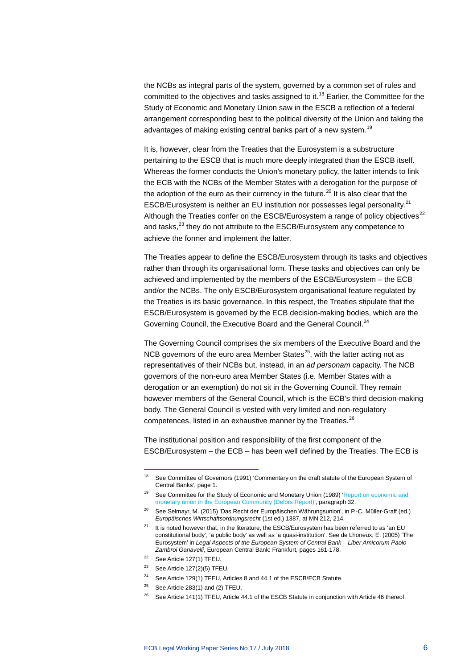the NCBs as integral parts of the system, governed by a common set of rules and committed to the objectives and tasks assigned to it.<sup>[18](#page-6-0)</sup> Earlier, the Committee for the Study of Economic and Monetary Union saw in the ESCB a reflection of a federal arrangement corresponding best to the political diversity of the Union and taking the advantages of making existing central banks part of a new system.<sup>[19](#page-6-1)</sup>

It is, however, clear from the Treaties that the Eurosystem is a substructure pertaining to the ESCB that is much more deeply integrated than the ESCB itself. Whereas the former conducts the Union's monetary policy, the latter intends to link the ECB with the NCBs of the Member States with a derogation for the purpose of the adoption of the euro as their currency in the future.<sup>[20](#page-6-2)</sup> It is also clear that the ESCB/Eurosystem is neither an EU institution nor possesses legal personality.<sup>[21](#page-6-3)</sup> Although the Treaties confer on the ESCB/Eurosystem a range of policy objectives $^{22}$  $^{22}$  $^{22}$ and tasks,<sup>[23](#page-6-5)</sup> they do not attribute to the ESCB/Eurosystem any competence to achieve the former and implement the latter.

The Treaties appear to define the ESCB/Eurosystem through its tasks and objectives rather than through its organisational form. These tasks and objectives can only be achieved and implemented by the members of the ESCB/Eurosystem – the ECB and/or the NCBs. The only ESCB/Eurosystem organisational feature regulated by the Treaties is its basic governance. In this respect, the Treaties stipulate that the ESCB/Eurosystem is governed by the ECB decision-making bodies, which are the Governing Council, the Executive Board and the General Council.<sup>[24](#page-6-6)</sup>

The Governing Council comprises the six members of the Executive Board and the NCB governors of the euro area Member States<sup>[25](#page-6-7)</sup>, with the latter acting not as representatives of their NCBs but, instead, in an *ad personam* capacity. The NCB governors of the non-euro area Member States (i.e. Member States with a derogation or an exemption) do not sit in the Governing Council. They remain however members of the General Council, which is the ECB's third decision-making body. The General Council is vested with very limited and non-regulatory competences, listed in an exhaustive manner by the Treaties.<sup>[26](#page-6-8)</sup>

The institutional position and responsibility of the first component of the ESCB/Eurosystem – the ECB – has been well defined by the Treaties. The ECB is

-

<span id="page-6-6"></span><sup>24</sup> See Article 129(1) TFEU, Articles 8 and 44.1 of the ESCB/ECB Statute.

<span id="page-6-0"></span><sup>&</sup>lt;sup>18</sup> See Committee of Governors (1991) 'Commentary on the draft statute of the European System of Central Banks', page 1.

<span id="page-6-1"></span><sup>&</sup>lt;sup>19</sup> See Committee for the Study of Economic and Monetary Union (1989) 'Report on economic and [monetary union in the European Community \(Delors Report\)',](http://aei.pitt.edu/1007/) paragraph 32.

<span id="page-6-2"></span><sup>20</sup> See Selmayr, M. (2015) 'Das Recht der Europäischen Währungsunion', in P.-C. Müller-Graff (ed.) *Europäisches Wirtschaftsordnungsrecht* (1st ed.) 1387, at MN 212, 214.

<span id="page-6-3"></span> $21$  It is noted however that, in the literature, the ESCB/Eurosystem has been referred to as 'an EU constitutional body', 'a public body' as well as 'a quasi-institution'. See de Lhoneux, E. (2005) 'The Eurosystem' in *Legal Aspects of the European System of Central Bank – Liber Amicorum Paolo Zambroi Ganavelli*, European Central Bank: Frankfurt, pages 161-178.

<span id="page-6-4"></span><sup>22</sup> See Article 127(1) TFEU.

<span id="page-6-5"></span> $23$  See Article 127(2)(5) TFEU.

<span id="page-6-7"></span> $25$  See Article 283(1) and (2) TFEU.

<span id="page-6-8"></span><sup>&</sup>lt;sup>26</sup> See Article 141(1) TFEU, Article 44.1 of the ESCB Statute in conjunction with Article 46 thereof.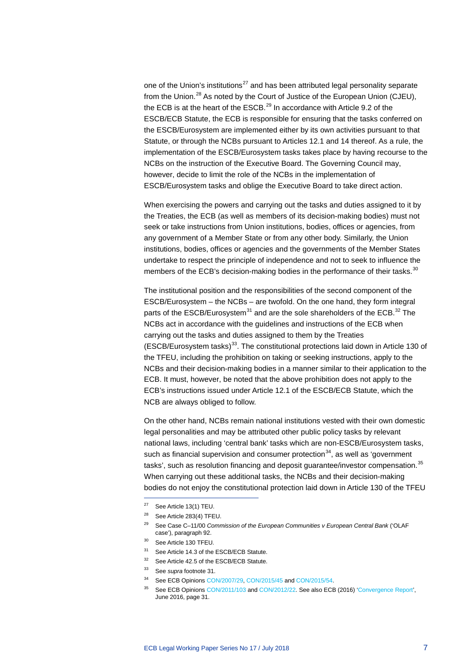one of the Union's institutions<sup>[27](#page-7-1)</sup> and has been attributed legal personality separate from the Union.<sup>[28](#page-7-2)</sup> As noted by the Court of Justice of the European Union (CJEU), the ECB is at the heart of the ESCB. $^{29}$  $^{29}$  $^{29}$  In accordance with Article 9.2 of the ESCB/ECB Statute, the ECB is responsible for ensuring that the tasks conferred on the ESCB/Eurosystem are implemented either by its own activities pursuant to that Statute, or through the NCBs pursuant to Articles 12.1 and 14 thereof. As a rule, the implementation of the ESCB/Eurosystem tasks takes place by having recourse to the NCBs on the instruction of the Executive Board. The Governing Council may, however, decide to limit the role of the NCBs in the implementation of ESCB/Eurosystem tasks and oblige the Executive Board to take direct action.

When exercising the powers and carrying out the tasks and duties assigned to it by the Treaties, the ECB (as well as members of its decision-making bodies) must not seek or take instructions from Union institutions, bodies, offices or agencies, from any government of a Member State or from any other body. Similarly, the Union institutions, bodies, offices or agencies and the governments of the Member States undertake to respect the principle of independence and not to seek to influence the members of the ECB's decision-making bodies in the performance of their tasks.<sup>[30](#page-7-4)</sup>

<span id="page-7-0"></span>The institutional position and the responsibilities of the second component of the ESCB/Eurosystem – the NCBs – are twofold. On the one hand, they form integral parts of the ESCB/Eurosystem<sup>[31](#page-7-5)</sup> and are the sole shareholders of the ECB.<sup>[32](#page-7-6)</sup> The NCBs act in accordance with the guidelines and instructions of the ECB when carrying out the tasks and duties assigned to them by the Treaties (ESCB/Eurosystem tasks)<sup>[33](#page-7-7)</sup>. The constitutional protections laid down in Article 130 of the TFEU, including the prohibition on taking or seeking instructions, apply to the NCBs and their decision-making bodies in a manner similar to their application to the ECB. It must, however, be noted that the above prohibition does not apply to the ECB's instructions issued under Article 12.1 of the ESCB/ECB Statute, which the NCB are always obliged to follow.

On the other hand, NCBs remain national institutions vested with their own domestic legal personalities and may be attributed other public policy tasks by relevant national laws, including 'central bank' tasks which are non-ESCB/Eurosystem tasks, such as financial supervision and consumer protection<sup>34</sup>, as well as 'government tasks', such as resolution financing and deposit guarantee/investor compensation.<sup>[35](#page-7-9)</sup> When carrying out these additional tasks, the NCBs and their decision-making bodies do not enjoy the constitutional protection laid down in Article 130 of the TFEU

<span id="page-7-1"></span><sup>27</sup> See Article 13(1) TEU.

<span id="page-7-2"></span><sup>28</sup> See Article 283(4) TFEU.

<span id="page-7-3"></span><sup>29</sup> See Case C–11/00 *Commission of the European Communities v European Central Bank* ('OLAF case'), paragraph 92.

<sup>30</sup> See Article 130 TFEU.

<span id="page-7-4"></span><sup>&</sup>lt;sup>31</sup> See Article 14.3 of the ESCB/ECB Statute.

<span id="page-7-7"></span><span id="page-7-6"></span><span id="page-7-5"></span><sup>32</sup> See Article 42.5 of the ESCB/ECB Statute.

<span id="page-7-9"></span><span id="page-7-8"></span><sup>33</sup> See *supra* footnote [31.](#page-7-0)

<sup>34</sup> See ECB Opinion[s CON/2007/29, CON/2015/45](https://www.ecb.europa.eu/ecb/legal/opinions/html/index.en.html) and [CON/2015/54.](https://www.ecb.europa.eu/ecb/legal/opinions/html/index.en.html)

<sup>&</sup>lt;sup>35</sup> See ECB Opinion[s CON/2011/103](https://www.ecb.europa.eu/ecb/legal/opinions/html/index.en.html) an[d CON/2012/22.](https://www.ecb.europa.eu/ecb/legal/opinions/html/index.en.html) See also ECB (2016) ['Convergence Report',](https://www.ecb.europa.eu/pub/pdf/conrep/cr201606.en.pdf) June 2016, page 31.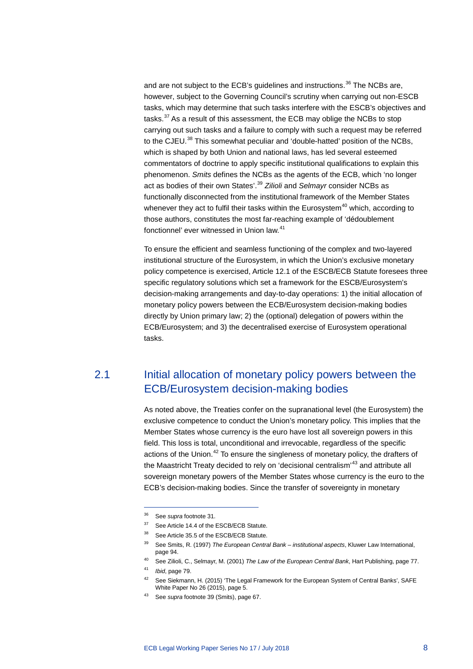and are not subject to the ECB's guidelines and instructions.<sup>[36](#page-8-1)</sup> The NCBs are, however, subject to the Governing Council's scrutiny when carrying out non-ESCB tasks, which may determine that such tasks interfere with the ESCB's objectives and tasks.<sup>[37](#page-8-2)</sup> As a result of this assessment, the ECB may oblige the NCBs to stop carrying out such tasks and a failure to comply with such a request may be referred to the CJEU.<sup>[38](#page-8-3)</sup> This somewhat peculiar and 'double-hatted' position of the NCBs, which is shaped by both Union and national laws, has led several esteemed commentators of doctrine to apply specific institutional qualifications to explain this phenomenon. *Smits* defines the NCBs as the agents of the ECB, which 'no longer act as bodies of their own States'.[39](#page-8-4) *Zilioli* and *Selmayr* consider NCBs as functionally disconnected from the institutional framework of the Member States whenever they act to fulfil their tasks within the Eurosystem $40$  which, according to those authors, constitutes the most far-reaching example of 'dédoublement fonctionnel' ever witnessed in Union law.<sup>[41](#page-8-6)</sup>

To ensure the efficient and seamless functioning of the complex and two-layered institutional structure of the Eurosystem, in which the Union's exclusive monetary policy competence is exercised, Article 12.1 of the ESCB/ECB Statute foresees three specific regulatory solutions which set a framework for the ESCB/Eurosystem's decision-making arrangements and day-to-day operations: 1) the initial allocation of monetary policy powers between the ECB/Eurosystem decision-making bodies directly by Union primary law; 2) the (optional) delegation of powers within the ECB/Eurosystem; and 3) the decentralised exercise of Eurosystem operational tasks.

## <span id="page-8-0"></span>2.1 Initial allocation of monetary policy powers between the ECB/Eurosystem decision-making bodies

As noted above, the Treaties confer on the supranational level (the Eurosystem) the exclusive competence to conduct the Union's monetary policy. This implies that the Member States whose currency is the euro have lost all sovereign powers in this field. This loss is total, unconditional and irrevocable, regardless of the specific actions of the Union. $42$  To ensure the singleness of monetary policy, the drafters of the Maastricht Treaty decided to rely on 'decisional centralism'<sup>[43](#page-8-8)</sup> and attribute all sovereign monetary powers of the Member States whose currency is the euro to the ECB's decision-making bodies. Since the transfer of sovereignty in monetary

- <sup>37</sup> See Article 14.4 of the ESCB/ECB Statute.
- <span id="page-8-3"></span>38 See Article 35.5 of the ESCB/ECB Statute.

<span id="page-8-7"></span><span id="page-8-6"></span><span id="page-8-5"></span><sup>41</sup> *Ibid*, page 79.

-

42 See Siekmann, H. (2015) 'The Legal Framework for the European System of Central Banks', SAFE White Paper No 26 (2015), page 5.

<span id="page-8-2"></span><span id="page-8-1"></span><sup>36</sup> See *supra* footnote [31.](#page-7-0)

<span id="page-8-4"></span><sup>39</sup> See Smits, R. (1997) *The European Central Bank – institutional aspects*, Kluwer Law International, page 94.

<sup>40</sup> See Zilioli, C., Selmayr, M. (2001) *The Law of the European Central Bank*, Hart Publishing, page 77.

<span id="page-8-8"></span><sup>43</sup> See *supra* footnote 39 (Smits), page 67.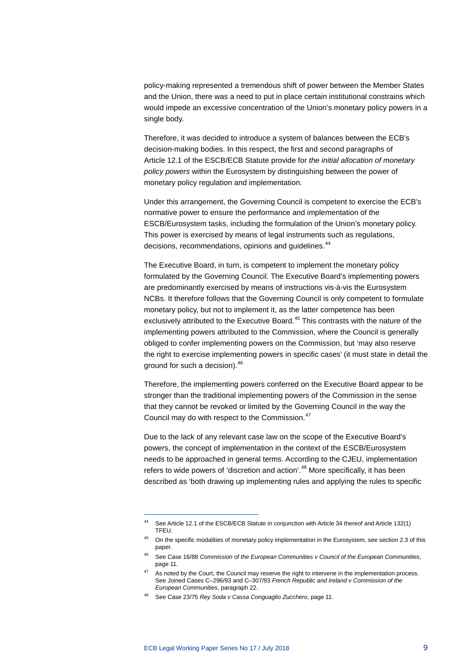policy-making represented a tremendous shift of power between the Member States and the Union, there was a need to put in place certain institutional constrains which would impede an excessive concentration of the Union's monetary policy powers in a single body.

Therefore, it was decided to introduce a system of balances between the ECB's decision-making bodies. In this respect, the first and second paragraphs of Article 12.1 of the ESCB/ECB Statute provide for *the initial allocation of monetary policy powers* within the Eurosystem by distinguishing between the power of monetary policy regulation and implementation.

Under this arrangement, the Governing Council is competent to exercise the ECB's normative power to ensure the performance and implementation of the ESCB/Eurosystem tasks, including the formulation of the Union's monetary policy. This power is exercised by means of legal instruments such as regulations, decisions, recommendations, opinions and guidelines.<sup>[44](#page-9-0)</sup>

The Executive Board, in turn, is competent to implement the monetary policy formulated by the Governing Council. The Executive Board's implementing powers are predominantly exercised by means of instructions vis-à-vis the Eurosystem NCBs. It therefore follows that the Governing Council is only competent to formulate monetary policy, but not to implement it, as the latter competence has been exclusively attributed to the Executive Board.<sup>[45](#page-9-1)</sup> This contrasts with the nature of the implementing powers attributed to the Commission, where the Council is generally obliged to confer implementing powers on the Commission, but 'may also reserve the right to exercise implementing powers in specific cases' (it must state in detail the ground for such a decision).<sup>[46](#page-9-2)</sup>

Therefore, the implementing powers conferred on the Executive Board appear to be stronger than the traditional implementing powers of the Commission in the sense that they cannot be revoked or limited by the Governing Council in the way the Council may do with respect to the Commission.<sup>[47](#page-9-3)</sup>

Due to the lack of any relevant case law on the scope of the Executive Board's powers, the concept of implementation in the context of the ESCB/Eurosystem needs to be approached in general terms. According to the CJEU, implementation refers to wide powers of 'discretion and action'.<sup>[48](#page-9-4)</sup> More specifically, it has been described as 'both drawing up implementing rules and applying the rules to specific

<span id="page-9-0"></span><sup>44</sup> See Article 12.1 of the ESCB/ECB Statute in conjunction with Article 34 thereof and Article 132(1) TFEU.

<span id="page-9-1"></span><sup>&</sup>lt;sup>45</sup> On the specific modalities of monetary policy implementation in the Eurosystem, see section 2.3 of this paper.

<span id="page-9-2"></span><sup>46</sup> See Case 16/88 *Commission of the European Communities v Council of the European Communities*, page 11.

<span id="page-9-3"></span> $47$  As noted by the Court, the Council may reserve the right to intervene in the implementation process. See Joined Cases C–296/93 and C–307/93 *French Republic and Ireland v Commission of the European Communities*, paragraph 22.

<span id="page-9-4"></span><sup>48</sup> See Case 23/75 *Rey Soda v Cassa Conguaglio Zucchero*, page 11.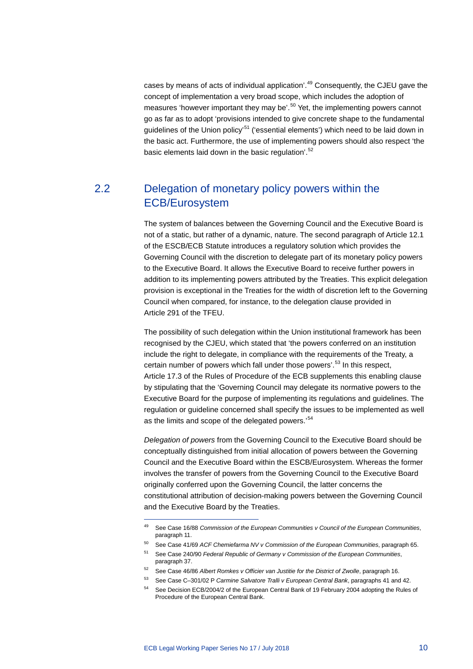cases by means of acts of individual application'.<sup>[49](#page-10-1)</sup> Consequently, the CJEU gave the concept of implementation a very broad scope, which includes the adoption of measures 'however important they may be'.<sup>[50](#page-10-2)</sup> Yet, the implementing powers cannot go as far as to adopt 'provisions intended to give concrete shape to the fundamental guidelines of the Union policy<sup>[51](#page-10-3)</sup> ('essential elements') which need to be laid down in the basic act. Furthermore, the use of implementing powers should also respect 'the basic elements laid down in the basic regulation'.<sup>[52](#page-10-4)</sup>

## <span id="page-10-0"></span>2.2 Delegation of monetary policy powers within the ECB/Eurosystem

The system of balances between the Governing Council and the Executive Board is not of a static, but rather of a dynamic, nature. The second paragraph of Article 12.1 of the ESCB/ECB Statute introduces a regulatory solution which provides the Governing Council with the discretion to delegate part of its monetary policy powers to the Executive Board. It allows the Executive Board to receive further powers in addition to its implementing powers attributed by the Treaties. This explicit delegation provision is exceptional in the Treaties for the width of discretion left to the Governing Council when compared, for instance, to the delegation clause provided in Article 291 of the TFEU.

The possibility of such delegation within the Union institutional framework has been recognised by the CJEU, which stated that 'the powers conferred on an institution include the right to delegate, in compliance with the requirements of the Treaty, a certain number of powers which fall under those powers'.[53](#page-10-5) In this respect, Article 17.3 of the Rules of Procedure of the ECB supplements this enabling clause by stipulating that the 'Governing Council may delegate its normative powers to the Executive Board for the purpose of implementing its regulations and guidelines. The regulation or guideline concerned shall specify the issues to be implemented as well as the limits and scope of the delegated powers.'<sup>[54](#page-10-6)</sup>

*Delegation of powers* from the Governing Council to the Executive Board should be conceptually distinguished from initial allocation of powers between the Governing Council and the Executive Board within the ESCB/Eurosystem. Whereas the former involves the transfer of powers from the Governing Council to the Executive Board originally conferred upon the Governing Council, the latter concerns the constitutional attribution of decision-making powers between the Governing Council and the Executive Board by the Treaties.

<span id="page-10-1"></span><sup>49</sup> See Case 16/88 *Commission of the European Communities v Council of the European Communities*, paragraph 11.

<span id="page-10-2"></span><sup>50</sup> See Case 41/69 *ACF Chemiefarma NV v Commission of the European Communities*, paragraph 65.

<span id="page-10-3"></span><sup>51</sup> See Case 240/90 *Federal Republic of Germany v Commission of the European Communities*, paragraph 37.

<span id="page-10-4"></span><sup>52</sup> See Case 46/86 *Albert Romkes v Officier van Justitie for the District of Zwolle*, paragraph 16.

<span id="page-10-5"></span><sup>53</sup> See Case C–301/02 P *Carmine Salvatore Tralli v European Central Bank*, paragraphs 41 and 42.

<span id="page-10-6"></span>See Decision ECB/2004/2 of the European Central Bank of 19 February 2004 adopting the Rules of Procedure of the European Central Bank.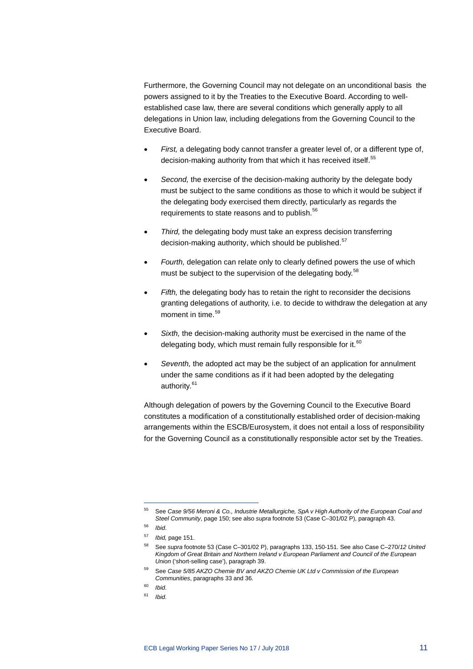Furthermore, the Governing Council may not delegate on an unconditional basis the powers assigned to it by the Treaties to the Executive Board. According to wellestablished case law, there are several conditions which generally apply to all delegations in Union law, including delegations from the Governing Council to the Executive Board.

- *First,* a delegating body cannot transfer a greater level of, or a different type of, decision-making authority from that which it has received itself.<sup>[55](#page-11-0)</sup>
- Second, the exercise of the decision-making authority by the delegate body must be subject to the same conditions as those to which it would be subject if the delegating body exercised them directly, particularly as regards the requirements to state reasons and to publish.<sup>[56](#page-11-1)</sup>
- *Third,* the delegating body must take an express decision transferring decision-making authority, which should be published.<sup>[57](#page-11-2)</sup>
- *Fourth,* delegation can relate only to clearly defined powers the use of which must be subject to the supervision of the delegating body.<sup>[58](#page-11-3)</sup>
- Fifth, the delegating body has to retain the right to reconsider the decisions granting delegations of authority, i.e. to decide to withdraw the delegation at any moment in time.<sup>[59](#page-11-4)</sup>
- *Sixth,* the decision-making authority must be exercised in the name of the delegating body, which must remain fully responsible for it.<sup>[60](#page-11-5)</sup>
- *Seventh,* the adopted act may be the subject of an application for annulment under the same conditions as if it had been adopted by the delegating authority.<sup>[61](#page-11-6)</sup>

Although delegation of powers by the Governing Council to the Executive Board constitutes a modification of a constitutionally established order of decision-making arrangements within the ESCB/Eurosystem, it does not entail a loss of responsibility for the Governing Council as a constitutionally responsible actor set by the Treaties.

<span id="page-11-0"></span><sup>55</sup> See *Case 9/56 Meroni & Co., Industrie Metallurgiche, SpA v High Authority of the European Coal and Steel Community*, page 150; see also *supra* footnote 53 (Case C–301/02 P), paragraph 43.

<sup>56</sup> *Ibid*.

<span id="page-11-2"></span><span id="page-11-1"></span><sup>57</sup> *Ibid,* page 151.

<span id="page-11-3"></span><sup>58</sup> See *supra* footnote 53 (Case C–301/02 P), paragraphs 133, 150-151. See also Case C–270/*12 United Kingdom of Great Britain and Northern Ireland v European Parliament and Council of the European Union* ('short-selling case'), paragraph 39.

<sup>59</sup> See *Case 5/85 AKZO Chemie BV and AKZO Chemie UK Ltd v Commission of the European Communities*, paragraphs 33 and 36.

<span id="page-11-6"></span><span id="page-11-5"></span><span id="page-11-4"></span><sup>60</sup> *Ibid*.

<sup>61</sup> *Ibid*.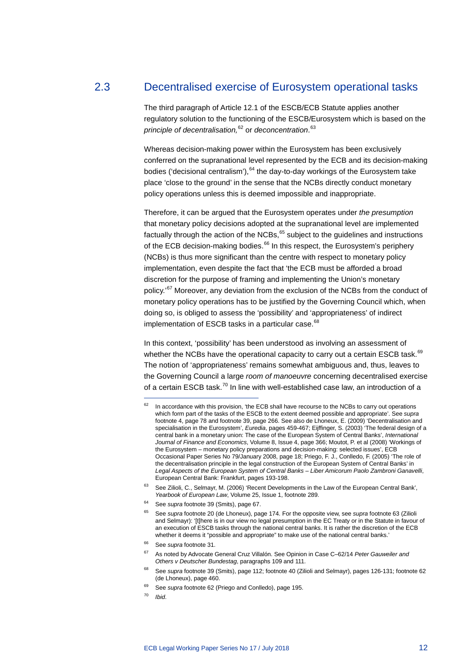### 2.3 Decentralised exercise of Eurosystem operational tasks

<span id="page-12-0"></span>The third paragraph of Article 12.1 of the ESCB/ECB Statute applies another regulatory solution to the functioning of the ESCB/Eurosystem which is based on the *principle of decentralisation,*[62](#page-12-1) or *deconcentration*. [63](#page-12-2)

Whereas decision-making power within the Eurosystem has been exclusively conferred on the supranational level represented by the ECB and its decision-making bodies ('decisional centralism'),  $64$  the day-to-day workings of the Eurosystem take place 'close to the ground' in the sense that the NCBs directly conduct monetary policy operations unless this is deemed impossible and inappropriate.

Therefore, it can be argued that the Eurosystem operates under *the presumption* that monetary policy decisions adopted at the supranational level are implemented factually through the action of the NCBs,<sup>[65](#page-12-4)</sup> subject to the guidelines and instructions of the ECB decision-making bodies.<sup>[66](#page-12-5)</sup> In this respect, the Eurosystem's periphery (NCBs) is thus more significant than the centre with respect to monetary policy implementation, even despite the fact that 'the ECB must be afforded a broad discretion for the purpose of framing and implementing the Union's monetary policy.'[67](#page-12-6) Moreover, any deviation from the exclusion of the NCBs from the conduct of monetary policy operations has to be justified by the Governing Council which, when doing so, is obliged to assess the 'possibility' and 'appropriateness' of indirect implementation of ESCB tasks in a particular case.<sup>[68](#page-12-7)</sup>

In this context, 'possibility' has been understood as involving an assessment of whether the NCBs have the operational capacity to carry out a certain ESCB task.<sup>[69](#page-12-8)</sup> The notion of 'appropriateness' remains somewhat ambiguous and, thus, leaves to the Governing Council a large *room of manoeuvre* concerning decentralised exercise of a certain ESCB task. $^{70}$  $^{70}$  $^{70}$  In line with well-established case law, an introduction of a

<span id="page-12-1"></span>In accordance with this provision, 'the ECB shall have recourse to the NCBs to carry out operations which form part of the tasks of the ESCB to the extent deemed possible and appropriate'. See *supra* footnote 4, page 78 and footnote 39, page 266. See also de Lhoneux, E. (2009) 'Decentralisation and specialisation in the Eurosystem', *Euredia*, pages 459-467; Eijffinger, S. (2003) 'The federal design of a central bank in a monetary union: The case of the European System of Central Banks', *International Journal of Finance and Economics*, Volume 8, Issue 4, page 366; Moutot, P. et al (2008) 'Workings of the Eurosystem – monetary policy preparations and decision-making: selected issues', ECB Occasional Paper Series No 79/January 2008, page 18; Priego, F. J., Conlledo, F. (2005) 'The role of the decentralisation principle in the legal construction of the European System of Central Banks' in *Legal Aspects of the European System of Central Banks – Liber Amicorum Paolo Zambroni Ganavelli*, European Central Bank: Frankfurt, pages 193-198.

<sup>&</sup>lt;sup>63</sup> See Zilioli, C., Selmayr, M. (2006) 'Recent Developments in the Law of the European Central Bank', *Yearbook of European Law*, Volume 25, Issue 1, footnote 289.

<span id="page-12-4"></span><span id="page-12-3"></span><span id="page-12-2"></span>See *supra* footnote 39 (Smits), page 67.

<sup>65</sup> See *supra* footnote 20 (de Lhoneux), page 174. For the opposite view, see *supra* footnote 63 (Zilioli and Selmayr): '[t]here is in our view no legal presumption in the EC Treaty or in the Statute in favour of an execution of ESCB tasks through the national central banks. It is rather the discretion of the ECB whether it deems it "possible and appropriate" to make use of the national central banks.'

<span id="page-12-6"></span><span id="page-12-5"></span><sup>66</sup> See *supra* footnote 31.

<sup>67</sup> As noted by Advocate General Cruz Villalón. See Opinion in Case C–62/14 *Peter Gauweiler and Others v Deutscher Bundestag*, paragraphs 109 and 111.

<sup>68</sup> See *supra* footnote 39 (Smits), page 112; footnote 40 (Zilioli and Selmayr), pages 126-131; footnote 62 (de Lhoneux), page 460.

<span id="page-12-9"></span><span id="page-12-8"></span><span id="page-12-7"></span><sup>69</sup> See *supra* footnote 62 (Priego and Conlledo), page 195.

<sup>70</sup> *Ibid*.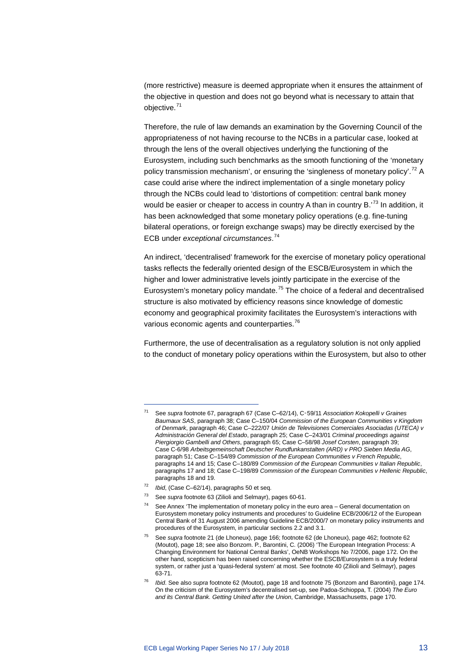(more restrictive) measure is deemed appropriate when it ensures the attainment of the objective in question and does not go beyond what is necessary to attain that objective.[71](#page-13-0)

Therefore, the rule of law demands an examination by the Governing Council of the appropriateness of not having recourse to the NCBs in a particular case, looked at through the lens of the overall objectives underlying the functioning of the Eurosystem, including such benchmarks as the smooth functioning of the 'monetary policy transmission mechanism', or ensuring the 'singleness of monetary policy'.<sup>[72](#page-13-1)</sup> A case could arise where the indirect implementation of a single monetary policy through the NCBs could lead to 'distortions of competition: central bank money would be easier or cheaper to access in country A than in country B.<sup>[73](#page-13-2)</sup> In addition, it has been acknowledged that some monetary policy operations (e.g. fine-tuning bilateral operations, or foreign exchange swaps) may be directly exercised by the ECB under *exceptional circumstances*. [74](#page-13-3)

An indirect, 'decentralised' framework for the exercise of monetary policy operational tasks reflects the federally oriented design of the ESCB/Eurosystem in which the higher and lower administrative levels jointly participate in the exercise of the Eurosystem's monetary policy mandate.<sup>[75](#page-13-4)</sup> The choice of a federal and decentralised structure is also motivated by efficiency reasons since knowledge of domestic economy and geographical proximity facilitates the Eurosystem's interactions with various economic agents and counterparties.<sup>[76](#page-13-5)</sup>

Furthermore, the use of decentralisation as a regulatory solution is not only applied to the conduct of monetary policy operations within the Eurosystem, but also to other

<span id="page-13-0"></span><sup>71</sup> See *supra* footnote 67, paragraph 67 (Case C–62/14), C‑59/11 *Association Kokopelli v Graines Baumaux SAS*, paragraph 38; Case C–150/04 *Commission of the European Communities v Kingdom of Denmark*, paragraph 46; Case C–222/07 *Unión de Televisiones Comerciales Asociadas (UTECA) v Administración General del Estado*, paragraph 25; Case C–243/01 *Criminal proceedings against Piergiorgio Gambelli and Others*, paragraph 65; Case C–58/98 *Josef Corsten*, paragraph 39; Case C-6/98 *Arbeitsgemeinschaft Deutscher Rundfunkanstalten (ARD) v PRO Sieben Media AG*, paragraph 51; Case C–154/89 *Commission of the European Communities v French Republic*, paragraphs 14 and 15; Case C–180/89 *Commission of the European Communities v Italian Republic*, paragraphs 17 and 18; Case C–198/89 *Commission of the European Communities v Hellenic Republic*, paragraphs 18 and 19.

<sup>72</sup> *Ibid*, (Case C–62/14), paragraphs 50 et seq.

<span id="page-13-3"></span><span id="page-13-2"></span><span id="page-13-1"></span><sup>73</sup> See *supra* footnote 63 (Zilioli and Selmayr), pages 60-61.

 $74$  See Annex 'The implementation of monetary policy in the euro area – General documentation on Eurosystem monetary policy instruments and procedures' to Guideline ECB/2006/12 of the European Central Bank of 31 August 2006 amending Guideline ECB/2000/7 on monetary policy instruments and procedures of the Eurosystem, in particular sections 2.2 and 3.1.

<span id="page-13-4"></span><sup>75</sup> See *supra* footnote 21 (de Lhoneux), page 166; footnote 62 (de Lhoneux), page 462; footnote 62 (Moutot), page 18; see also Bonzom. P., Barontini, C. (2006) 'The European Integration Process: A Changing Environment for National Central Banks', OeNB Workshops No 7/2006, page 172. On the other hand, scepticism has been raised concerning whether the ESCB/Eurosystem is a truly federal system, or rather just a 'quasi-federal system' at most. See footnote 40 (Zilioli and Selmayr), pages 63-71.

<span id="page-13-5"></span><sup>76</sup> *Ibid*. See also *supra* footnote 62 (Moutot), page 18 and footnote 75 (Bonzom and Barontini), page 174. On the criticism of the Eurosystem's decentralised set-up, see Padoa-Schioppa, T. (2004) *The Euro and its Central Bank. Getting United after the Union*, Cambridge, Massachusetts, page 170.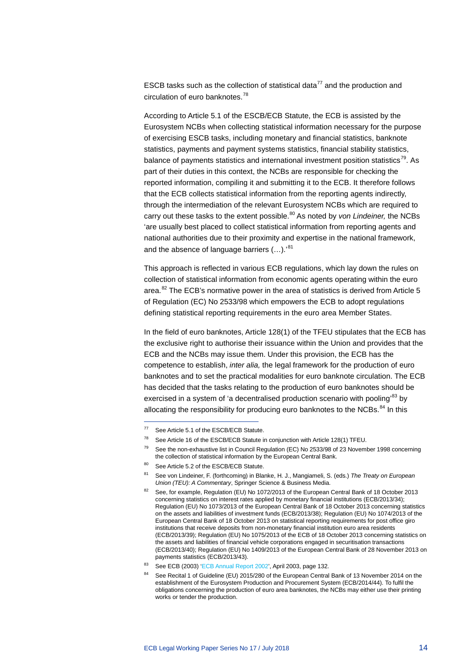ESCB tasks such as the collection of statistical data<sup>[77](#page-14-0)</sup> and the production and circulation of euro banknotes.<sup>[78](#page-14-1)</sup>

According to Article 5.1 of the ESCB/ECB Statute, the ECB is assisted by the Eurosystem NCBs when collecting statistical information necessary for the purpose of exercising ESCB tasks, including monetary and financial statistics, banknote statistics, payments and payment systems statistics, financial stability statistics, balance of payments statistics and international investment position statistics<sup>[79](#page-14-2)</sup>. As part of their duties in this context, the NCBs are responsible for checking the reported information, compiling it and submitting it to the ECB. It therefore follows that the ECB collects statistical information from the reporting agents indirectly, through the intermediation of the relevant Eurosystem NCBs which are required to carry out these tasks to the extent possible.[80](#page-14-3) As noted by *von Lindeiner,* the NCBs 'are usually best placed to collect statistical information from reporting agents and national authorities due to their proximity and expertise in the national framework, and the absence of language barriers (...).'[81](#page-14-4)

This approach is reflected in various ECB regulations, which lay down the rules on collection of statistical information from economic agents operating within the euro area.<sup>[82](#page-14-5)</sup> The ECB's normative power in the area of statistics is derived from Article 5 of Regulation (EC) No 2533/98 which empowers the ECB to adopt regulations defining statistical reporting requirements in the euro area Member States.

In the field of euro banknotes, Article 128(1) of the TFEU stipulates that the ECB has the exclusive right to authorise their issuance within the Union and provides that the ECB and the NCBs may issue them. Under this provision, the ECB has the competence to establish, *inter alia,* the legal framework for the production of euro banknotes and to set the practical modalities for euro banknote circulation. The ECB has decided that the tasks relating to the production of euro banknotes should be exercised in a system of 'a decentralised production scenario with pooling<sup>[83](#page-14-6)</sup> by allocating the responsibility for producing euro banknotes to the NCBs. $84$  In this

<span id="page-14-0"></span> $77$  See Article 5.1 of the ESCB/ECB Statute.

See Article 16 of the ESCB/ECB Statute in conjunction with Article 128(1) TFEU.

<span id="page-14-2"></span><span id="page-14-1"></span><sup>79</sup> See the non-exhaustive list in Council Regulation (EC) No 2533/98 of 23 November 1998 concerning the collection of statistical information by the European Central Bank.

<span id="page-14-3"></span><sup>80</sup> See Article 5.2 of the ESCB/ECB Statute.

<span id="page-14-4"></span><sup>81</sup> See von Lindeiner, F. (forthcoming) in Blanke, H. J., Mangiameli, S. (eds.) *The Treaty on European Union (TEU): A Commentary*, Springer Science & Business Media.

<span id="page-14-5"></span><sup>&</sup>lt;sup>82</sup> See, for example, Regulation (EU) No 1072/2013 of the European Central Bank of 18 October 2013 concerning statistics on interest rates applied by monetary financial institutions (ECB/2013/34); Regulation (EU) No 1073/2013 of the European Central Bank of 18 October 2013 concerning statistics on the assets and liabilities of investment funds (ECB/2013/38); Regulation (EU) No 1074/2013 of the European Central Bank of 18 October 2013 on statistical reporting requirements for post office giro institutions that receive deposits from non-monetary financial institution euro area residents (ECB/2013/39); Regulation (EU) No 1075/2013 of the ECB of 18 October 2013 concerning statistics on the assets and liabilities of financial vehicle corporations engaged in securitisation transactions (ECB/2013/40); Regulation (EU) No 1409/2013 of the European Central Bank of 28 November 2013 on payments statistics (ECB/2013/43).

<span id="page-14-7"></span><span id="page-14-6"></span><sup>83</sup> See ECB (2003) ['ECB Annual Report](https://www.ecb.europa.eu/pub/annual/html/index.en.html) 2002', April 2003, page 132.

See Recital 1 of Guideline (EU) 2015/280 of the European Central Bank of 13 November 2014 on the establishment of the Eurosystem Production and Procurement System (ECB/2014/44). To fulfil the obligations concerning the production of euro area banknotes, the NCBs may either use their printing works or tender the production.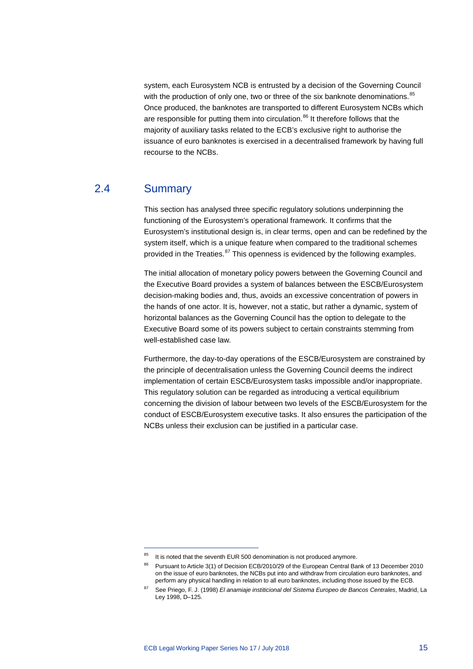system, each Eurosystem NCB is entrusted by a decision of the Governing Council with the production of only one, two or three of the six banknote denominations.<sup>[85](#page-15-1)</sup> Once produced, the banknotes are transported to different Eurosystem NCBs which are responsible for putting them into circulation.<sup>[86](#page-15-2)</sup> It therefore follows that the majority of auxiliary tasks related to the ECB's exclusive right to authorise the issuance of euro banknotes is exercised in a decentralised framework by having full recourse to the NCBs.

### 2.4 Summary

-

<span id="page-15-0"></span>This section has analysed three specific regulatory solutions underpinning the functioning of the Eurosystem's operational framework. It confirms that the Eurosystem's institutional design is, in clear terms, open and can be redefined by the system itself, which is a unique feature when compared to the traditional schemes provided in the Treaties.<sup>[87](#page-15-3)</sup> This openness is evidenced by the following examples.

The initial allocation of monetary policy powers between the Governing Council and the Executive Board provides a system of balances between the ESCB/Eurosystem decision-making bodies and, thus, avoids an excessive concentration of powers in the hands of one actor. It is, however, not a static, but rather a dynamic, system of horizontal balances as the Governing Council has the option to delegate to the Executive Board some of its powers subject to certain constraints stemming from well-established case law.

Furthermore, the day-to-day operations of the ESCB/Eurosystem are constrained by the principle of decentralisation unless the Governing Council deems the indirect implementation of certain ESCB/Eurosystem tasks impossible and/or inappropriate. This regulatory solution can be regarded as introducing a vertical equilibrium concerning the division of labour between two levels of the ESCB/Eurosystem for the conduct of ESCB/Eurosystem executive tasks. It also ensures the participation of the NCBs unless their exclusion can be justified in a particular case.

<span id="page-15-2"></span><span id="page-15-1"></span> $85$  It is noted that the seventh EUR 500 denomination is not produced anymore.

<sup>86</sup> Pursuant to Article 3(1) of Decision ECB/2010/29 of the European Central Bank of 13 December 2010 on the issue of euro banknotes, the NCBs put into and withdraw from circulation euro banknotes, and perform any physical handling in relation to all euro banknotes, including those issued by the ECB.

<span id="page-15-3"></span><sup>87</sup> See Priego, F. J. (1998) *El anamiaje institicional del Sistema Europeo de Bancos Centrales*, Madrid, La Ley 1998, D–125.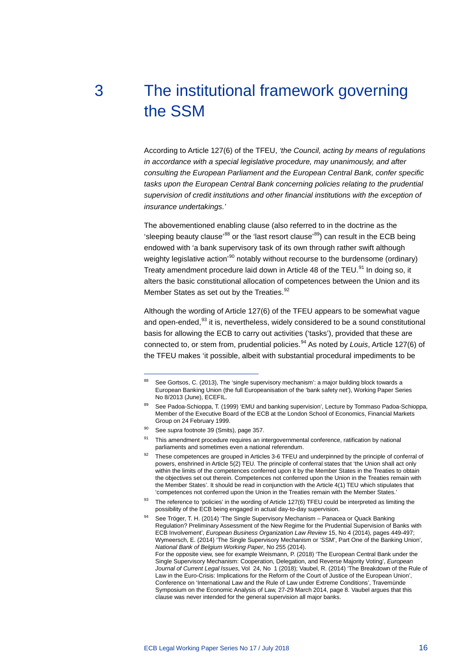# <span id="page-16-0"></span>3 The institutional framework governing the SSM

According to Article 127(6) of the TFEU, *'the Council, acting by means of regulations in accordance with a special legislative procedure, may unanimously, and after consulting the European Parliament and the European Central Bank, confer specific*  tasks upon the European Central Bank concerning policies relating to the prudential *supervision of credit institutions and other financial institutions with the exception of insurance undertakings.'*

The abovementioned enabling clause (also referred to in the doctrine as the 'sleeping beauty clause'<sup>[88](#page-16-1)</sup> or the 'last resort clause'<sup>[89](#page-16-2)</sup>) can result in the ECB being endowed with 'a bank supervisory task of its own through rather swift although weighty legislative action<sup>'[90](#page-16-3)</sup> notably without recourse to the burdensome (ordinary) Treaty amendment procedure laid down in Article 48 of the TEU.<sup>[91](#page-16-4)</sup> In doing so, it alters the basic constitutional allocation of competences between the Union and its Member States as set out by the Treaties.<sup>[92](#page-16-5)</sup>

Although the wording of Article 127(6) of the TFEU appears to be somewhat vague and open-ended,<sup>[93](#page-16-6)</sup> it is, nevertheless, widely considered to be a sound constitutional basis for allowing the ECB to carry out activities ('tasks'), provided that these are connected to, or stem from, prudential policies.[94](#page-16-7) As noted by *Louis*, Article 127(6) of the TFEU makes 'it possible, albeit with substantial procedural impediments to be

-

clause was never intended for the general supervision all major banks.

<span id="page-16-1"></span><sup>88</sup> See Gortsos, C. (2013), The 'single supervisory mechanism': a major building block towards a European Banking Union (the full Europeanisation of the 'bank safety net'), Working Paper Series No 8/2013 (June), ECEFIL.

<span id="page-16-2"></span>See Padoa-Schioppa, T. (1999) 'EMU and banking supervision', Lecture by Tommaso Padoa-Schioppa, Member of the Executive Board of the ECB at the London School of Economics, Financial Markets Group on 24 February 1999.

<span id="page-16-4"></span><span id="page-16-3"></span><sup>90</sup> See *supra* footnote 39 (Smits), page 357.

This amendment procedure requires an intergovernmental conference, ratification by national parliaments and sometimes even a national referendum.

<span id="page-16-5"></span><sup>92</sup> These competences are grouped in Articles 3-6 TFEU and underpinned by the principle of conferral of powers, enshrined in Article 5(2) TEU. The principle of conferral states that 'the Union shall act only within the limits of the competences conferred upon it by the Member States in the Treaties to obtain the objectives set out therein. Competences not conferred upon the Union in the Treaties remain with the Member States'. It should be read in conjunction with the Article 4(1) TEU which stipulates that 'competences not conferred upon the Union in the Treaties remain with the Member States.'

<span id="page-16-6"></span><sup>93</sup> The reference to 'policies' in the wording of Article 127(6) TFEU could be interpreted as limiting the possibility of the ECB being engaged in actual day-to-day supervision.

<span id="page-16-7"></span><sup>94</sup> See Tröger, T. H. (2014) 'The Single Supervisory Mechanism – Panacea or Quack Banking Regulation? Preliminary Assessment of the New Regime for the Prudential Supervision of Banks with ECB Involvement', *European Business Organization Law Review* 15, No 4 (2014), pages 449-497; Wymeersch, E. (2014) 'The Single Supervisory Mechanism or 'SSM', Part One of the Banking Union', *National Bank of Belgium Working Paper*, No 255 (2014). For the opposite view, see for example Weismann, P. (2018) 'The European Central Bank under the Single Supervisory Mechanism: Cooperation, Delegation, and Reverse Majority Voting', *European Journal of Current Legal Issues*, Vol 24, No 1 (2018); Vaubel, R. (2014) 'The Breakdown of the Rule of Law in the Euro-Crisis: Implications for the Reform of the Court of Justice of the European Union', Conference on 'International Law and the Rule of Law under Extreme Conditions', Travemünde Symposium on the Economic Analysis of Law, 27-29 March 2014, page 8. Vaubel argues that this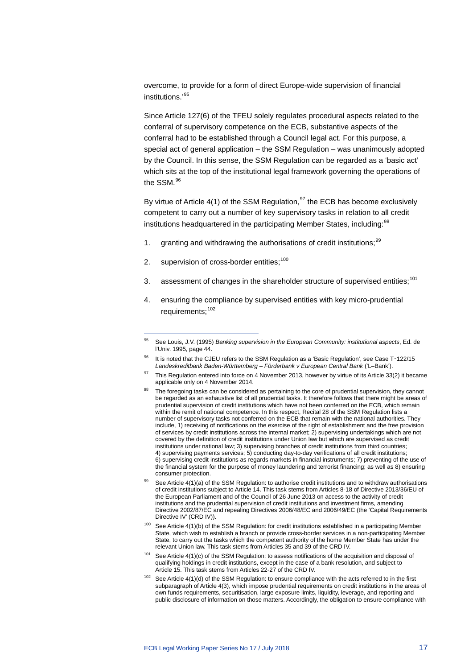overcome, to provide for a form of direct Europe-wide supervision of financial institutions.'[95](#page-17-0)

Since Article 127(6) of the TFEU solely regulates procedural aspects related to the conferral of supervisory competence on the ECB, substantive aspects of the conferral had to be established through a Council legal act. For this purpose, a special act of general application – the SSM Regulation – was unanimously adopted by the Council. In this sense, the SSM Regulation can be regarded as a 'basic act' which sits at the top of the institutional legal framework governing the operations of the SSM.[96](#page-17-1)

<span id="page-17-8"></span>By virtue of Article 4(1) of the SSM Regulation,  $97$  the ECB has become exclusively competent to carry out a number of key supervisory tasks in relation to all credit institutions headquartered in the participating Member States, including:<sup>[98](#page-17-3)</sup>

- 1. granting and withdrawing the authorisations of credit institutions;<sup>[99](#page-17-4)</sup>
- 2. supervision of cross-border entities;<sup>[100](#page-17-5)</sup>

- 3. assessment of changes in the shareholder structure of supervised entities;<sup>[101](#page-17-6)</sup>
- 4. ensuring the compliance by supervised entities with key micro-prudential requirements;<sup>[102](#page-17-7)</sup>

- <span id="page-17-5"></span> $100$  See Article 4(1)(b) of the SSM Regulation: for credit institutions established in a participating Member State, which wish to establish a branch or provide cross-border services in a non-participating Member State, to carry out the tasks which the competent authority of the home Member State has under the relevant Union law. This task stems from Articles 35 and 39 of the CRD IV.
- <span id="page-17-6"></span> $101$  See Article 4(1)(c) of the SSM Regulation: to assess notifications of the acquisition and disposal of qualifying holdings in credit institutions, except in the case of a bank resolution, and subject to Article 15. This task stems from Articles 22-27 of the CRD IV.
- <span id="page-17-7"></span>102 See Article 4(1)(d) of the SSM Regulation: to ensure compliance with the acts referred to in the first subparagraph of Article 4(3), which impose prudential requirements on credit institutions in the areas of own funds requirements, securitisation, large exposure limits, liquidity, leverage, and reporting and public disclosure of information on those matters. Accordingly, the obligation to ensure compliance with

<span id="page-17-0"></span><sup>95</sup> See Louis, J.V. (1995) *Banking supervision in the European Community: institutional aspects*, Ed. de l'Univ. 1995, page 44.

<span id="page-17-1"></span><sup>96</sup> It is noted that the CJEU refers to the SSM Regulation as a 'Basic Regulation', see Case T-122/15 *Landeskreditbank Baden-Württemberg – Förderbank v European Central Bank* ('L–Bank').

<span id="page-17-2"></span> $97$  This Regulation entered into force on 4 November 2013, however by virtue of its Article 33(2) it became applicable only on 4 November 2014.

<span id="page-17-3"></span><sup>98</sup> The foregoing tasks can be considered as pertaining to the core of prudential supervision, they cannot be regarded as an exhaustive list of all prudential tasks. It therefore follows that there might be areas of prudential supervision of credit institutions which have not been conferred on the ECB, which remain within the remit of national competence. In this respect, Recital 28 of the SSM Regulation lists a number of supervisory tasks not conferred on the ECB that remain with the national authorities. They include, 1) receiving of notifications on the exercise of the right of establishment and the free provision of services by credit institutions across the internal market; 2) supervising undertakings which are not covered by the definition of credit institutions under Union law but which are supervised as credit institutions under national law; 3) supervising branches of credit institutions from third countries; 4) supervising payments services; 5) conducting day-to-day verifications of all credit institutions; 6) supervising credit institutions as regards markets in financial instruments; 7) preventing of the use of the financial system for the purpose of money laundering and terrorist financing; as well as 8) ensuring consumer protection.

<span id="page-17-4"></span>See Article 4(1)(a) of the SSM Regulation: to authorise credit institutions and to withdraw authorisations of credit institutions subject to Article 14. This task stems from Articles 8-18 of Directive 2013/36/EU of the European Parliament and of the Council of 26 June 2013 on access to the activity of credit institutions and the prudential supervision of credit institutions and investment firms, amending Directive 2002/87/EC and repealing Directives 2006/48/EC and 2006/49/EC (the 'Capital Requirements Directive IV' (CRD IV)).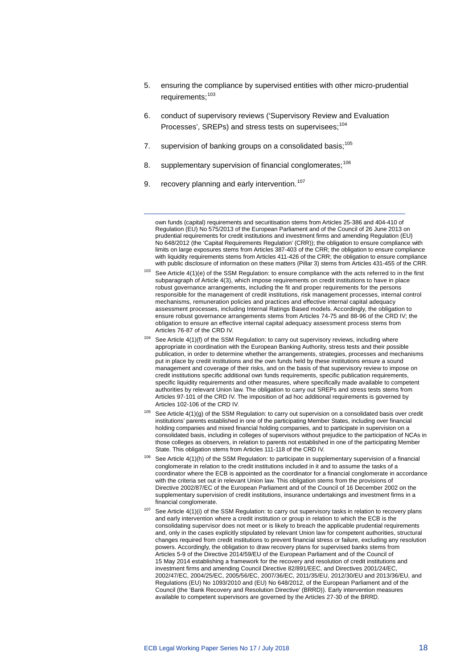- 5. ensuring the compliance by supervised entities with other micro-prudential requirements: [103](#page-18-0)
- 6. conduct of supervisory reviews ('Supervisory Review and Evaluation Processes', SREPs) and stress tests on supervisees;<sup>[104](#page-18-1)</sup>
- 7. supervision of banking groups on a consolidated basis;<sup>[105](#page-18-2)</sup>
- 8. supplementary supervision of financial conglomerates;<sup>[106](#page-18-3)</sup>
- 9. recovery planning and early intervention.<sup>[107](#page-18-4)</sup>

-

own funds (capital) requirements and securitisation stems from Articles 25-386 and 404-410 of Regulation (EU) No 575/2013 of the European Parliament and of the Council of 26 June 2013 on prudential requirements for credit institutions and investment firms and amending Regulation (EU) No 648/2012 (the 'Capital Requirements Regulation' (CRR)); the obligation to ensure compliance with limits on large exposures stems from Articles 387-403 of the CRR; the obligation to ensure compliance with liquidity requirements stems from Articles 411-426 of the CRR; the obligation to ensure compliance with public disclosure of information on these matters (Pillar 3) stems from Articles 431-455 of the CRR.

- <span id="page-18-1"></span><sup>104</sup> See Article 4(1)(f) of the SSM Regulation: to carry out supervisory reviews, including where appropriate in coordination with the European Banking Authority, stress tests and their possible publication, in order to determine whether the arrangements, strategies, processes and mechanisms put in place by credit institutions and the own funds held by these institutions ensure a sound management and coverage of their risks, and on the basis of that supervisory review to impose on credit institutions specific additional own funds requirements, specific publication requirements, specific liquidity requirements and other measures, where specifically made available to competent authorities by relevant Union law. The obligation to carry out SREPs and stress tests stems from Articles 97-101 of the CRD IV. The imposition of ad hoc additional requirements is governed by Articles 102-106 of the CRD IV.
- <span id="page-18-2"></span> $105$  See Article 4(1)(g) of the SSM Regulation: to carry out supervision on a consolidated basis over credit institutions' parents established in one of the participating Member States, including over financial holding companies and mixed financial holding companies, and to participate in supervision on a consolidated basis, including in colleges of supervisors without prejudice to the participation of NCAs in those colleges as observers, in relation to parents not established in one of the participating Member State. This obligation stems from Articles 111-118 of the CRD IV.
- <span id="page-18-3"></span><sup>106</sup> See Article 4(1)(h) of the SSM Regulation: to participate in supplementary supervision of a financial conglomerate in relation to the credit institutions included in it and to assume the tasks of a coordinator where the ECB is appointed as the coordinator for a financial conglomerate in accordance with the criteria set out in relevant Union law. This obligation stems from the provisions of Directive 2002/87/EC of the European Parliament and of the Council of 16 December 2002 on the supplementary supervision of credit institutions, insurance undertakings and investment firms in a financial conglomerate.
- <span id="page-18-4"></span>See Article 4(1)(i) of the SSM Regulation: to carry out supervisory tasks in relation to recovery plans and early intervention where a credit institution or group in relation to which the ECB is the consolidating supervisor does not meet or is likely to breach the applicable prudential requirements and, only in the cases explicitly stipulated by relevant Union law for competent authorities, structural changes required from credit institutions to prevent financial stress or failure, excluding any resolution powers. Accordingly, the obligation to draw recovery plans for supervised banks stems from Articles 5-9 of the Directive 2014/59/EU of the European Parliament and of the Council of 15 May 2014 establishing a framework for the recovery and resolution of credit institutions and investment firms and amending Council Directive 82/891/EEC, and Directives 2001/24/EC, 2002/47/EC, 2004/25/EC, 2005/56/EC, 2007/36/EC, 2011/35/EU, 2012/30/EU and 2013/36/EU, and Regulations (EU) No 1093/2010 and (EU) No 648/2012, of the European Parliament and of the Council (the 'Bank Recovery and Resolution Directive' (BRRD)). Early intervention measures available to competent supervisors are governed by the Articles 27-30 of the BRRD.

<span id="page-18-0"></span> $103$  See Article 4(1)(e) of the SSM Regulation: to ensure compliance with the acts referred to in the first subparagraph of Article 4(3), which impose requirements on credit institutions to have in place robust governance arrangements, including the fit and proper requirements for the persons responsible for the management of credit institutions, risk management processes, internal control mechanisms, remuneration policies and practices and effective internal capital adequacy assessment processes, including Internal Ratings Based models. Accordingly, the obligation to ensure robust governance arrangements stems from Articles 74-75 and 88-96 of the CRD IV; the obligation to ensure an effective internal capital adequacy assessment process stems from Articles 76-87 of the CRD IV.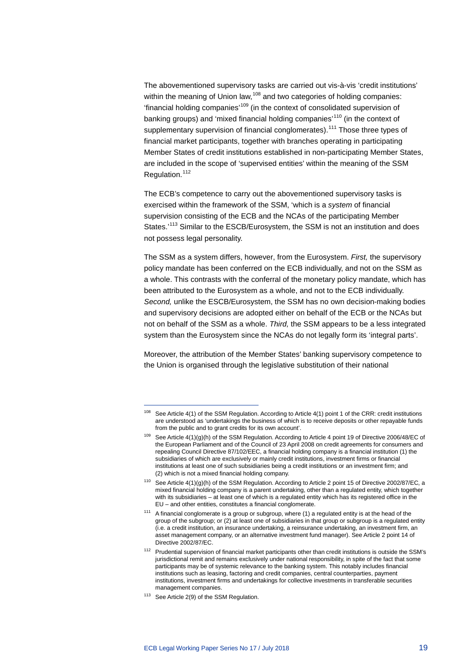The abovementioned supervisory tasks are carried out vis-à-vis 'credit institutions' within the meaning of Union law,<sup>[108](#page-19-0)</sup> and two categories of holding companies: 'financial holding companies'[109](#page-19-1) (in the context of consolidated supervision of banking groups) and 'mixed financial holding companies'<sup>[110](#page-19-2)</sup> (in the context of supplementary supervision of financial conglomerates).<sup>[111](#page-19-3)</sup> Those three types of financial market participants, together with branches operating in participating Member States of credit institutions established in non-participating Member States, are included in the scope of 'supervised entities' within the meaning of the SSM Regulation.<sup>[112](#page-19-4)</sup>

The ECB's competence to carry out the abovementioned supervisory tasks is exercised within the framework of the SSM, 'which is a *system* of financial supervision consisting of the ECB and the NCAs of the participating Member States.<sup>'[113](#page-19-5)</sup> Similar to the ESCB/Eurosystem, the SSM is not an institution and does not possess legal personality.

The SSM as a system differs, however, from the Eurosystem. *First,* the supervisory policy mandate has been conferred on the ECB individually, and not on the SSM as a whole. This contrasts with the conferral of the monetary policy mandate, which has been attributed to the Eurosystem as a whole, and not to the ECB individually. *Second,* unlike the ESCB/Eurosystem, the SSM has no own decision-making bodies and supervisory decisions are adopted either on behalf of the ECB or the NCAs but not on behalf of the SSM as a whole. *Third,* the SSM appears to be a less integrated system than the Eurosystem since the NCAs do not legally form its 'integral parts'.

Moreover, the attribution of the Member States' banking supervisory competence to the Union is organised through the legislative substitution of their national

<span id="page-19-1"></span><span id="page-19-0"></span><sup>108</sup> See Article 4(1) of the SSM Regulation. According to Article 4(1) point 1 of the CRR: credit institutions are understood as 'undertakings the business of which is to receive deposits or other repayable funds from the public and to grant credits for its own account'.

<sup>109</sup> See Article 4(1)(g)(h) of the SSM Regulation. According to Article 4 point 19 of Directive 2006/48/EC of the European Parliament and of the Council of 23 April 2008 on credit agreements for consumers and repealing Council Directive 87/102/EEC, a financial holding company is a financial institution (1) the subsidiaries of which are exclusively or mainly credit institutions, investment firms or financial institutions at least one of such subsidiaries being a credit institutions or an investment firm; and (2) which is not a mixed financial holding company.

<span id="page-19-2"></span><sup>110</sup> See Article 4(1)(g)(h) of the SSM Regulation. According to Article 2 point 15 of Directive 2002/87/EC, a mixed financial holding company is a parent undertaking, other than a regulated entity, which together with its subsidiaries – at least one of which is a regulated entity which has its registered office in the EU – and other entities, constitutes a financial conglomerate.

<span id="page-19-3"></span><sup>111</sup> A financial conglomerate is a group or subgroup, where (1) a regulated entity is at the head of the group of the subgroup; or (2) at least one of subsidiaries in that group or subgroup is a regulated entity (i.e. a credit institution, an insurance undertaking, a reinsurance undertaking, an investment firm, an asset management company, or an alternative investment fund manager). See Article 2 point 14 of Directive 2002/87/EC.

<span id="page-19-4"></span><sup>112</sup> Prudential supervision of financial market participants other than credit institutions is outside the SSM's jurisdictional remit and remains exclusively under national responsibility, in spite of the fact that some participants may be of systemic relevance to the banking system. This notably includes financial institutions such as leasing, factoring and credit companies, central counterparties, payment institutions, investment firms and undertakings for collective investments in transferable securities management companies.

<span id="page-19-5"></span><sup>113</sup> See Article 2(9) of the SSM Regulation.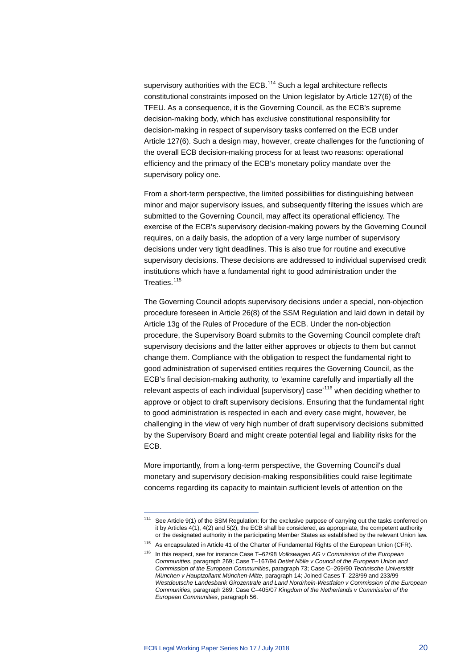supervisory authorities with the ECB.<sup>[114](#page-20-0)</sup> Such a legal architecture reflects constitutional constraints imposed on the Union legislator by Article 127(6) of the TFEU. As a consequence, it is the Governing Council, as the ECB's supreme decision-making body, which has exclusive constitutional responsibility for decision-making in respect of supervisory tasks conferred on the ECB under Article 127(6). Such a design may, however, create challenges for the functioning of the overall ECB decision-making process for at least two reasons: operational efficiency and the primacy of the ECB's monetary policy mandate over the supervisory policy one.

From a short-term perspective, the limited possibilities for distinguishing between minor and major supervisory issues, and subsequently filtering the issues which are submitted to the Governing Council, may affect its operational efficiency. The exercise of the ECB's supervisory decision-making powers by the Governing Council requires, on a daily basis, the adoption of a very large number of supervisory decisions under very tight deadlines. This is also true for routine and executive supervisory decisions. These decisions are addressed to individual supervised credit institutions which have a fundamental right to good administration under the Treaties.<sup>[115](#page-20-1)</sup>

The Governing Council adopts supervisory decisions under a special, non-objection procedure foreseen in Article 26(8) of the SSM Regulation and laid down in detail by Article 13g of the Rules of Procedure of the ECB. Under the non-objection procedure, the Supervisory Board submits to the Governing Council complete draft supervisory decisions and the latter either approves or objects to them but cannot change them. Compliance with the obligation to respect the fundamental right to good administration of supervised entities requires the Governing Council, as the ECB's final decision-making authority, to 'examine carefully and impartially all the relevant aspects of each individual [supervisory] case<sup>[116](#page-20-2)</sup> when deciding whether to approve or object to draft supervisory decisions. Ensuring that the fundamental right to good administration is respected in each and every case might, however, be challenging in the view of very high number of draft supervisory decisions submitted by the Supervisory Board and might create potential legal and liability risks for the ECB.

More importantly, from a long-term perspective, the Governing Council's dual monetary and supervisory decision-making responsibilities could raise legitimate concerns regarding its capacity to maintain sufficient levels of attention on the

<span id="page-20-0"></span><sup>114</sup> See Article 9(1) of the SSM Regulation: for the exclusive purpose of carrying out the tasks conferred on it by Articles 4(1), 4(2) and 5(2), the ECB shall be considered, as appropriate, the competent authority or the designated authority in the participating Member States as established by the relevant Union law.

<span id="page-20-1"></span><sup>&</sup>lt;sup>115</sup> As encapsulated in Article 41 of the Charter of Fundamental Rights of the European Union (CFR).

<span id="page-20-2"></span><sup>116</sup> In this respect, see for instance Case T–62/98 *Volkswagen AG v Commission of the European Communities*, paragraph 269; Case T–167/94 *Detlef Nölle v Council of the European Union and Commission of the European Communities*, paragraph 73; Case C–269/90 *Technische Universität München v Hauptzollamt München-Mitte*, paragraph 14; Joined Cases T–228/99 and 233/99 *Westdeutsche Landesbank Girozentrale and Land Nordrhein-Westfalen v Commission of the European Communities*, paragraph 269; Case C–405/07 *Kingdom of the Netherlands v Commission of the European Communities*, paragraph 56.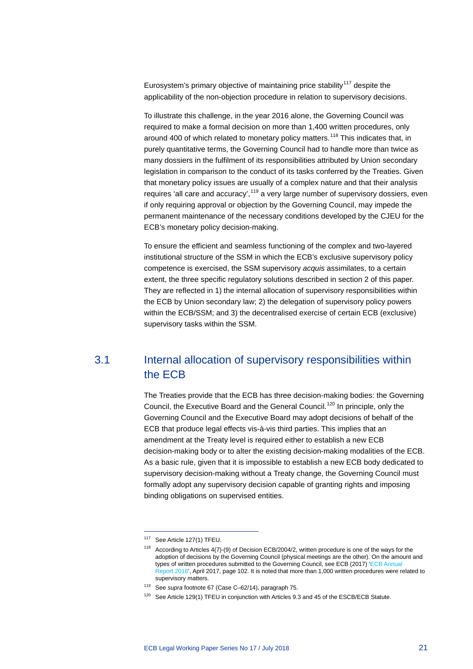Eurosystem's primary objective of maintaining price stability<sup>[117](#page-21-1)</sup> despite the applicability of the non-objection procedure in relation to supervisory decisions.

To illustrate this challenge, in the year 2016 alone, the Governing Council was required to make a formal decision on more than 1,400 written procedures, only around 400 of which related to monetary policy matters.<sup>[118](#page-21-2)</sup> This indicates that, in purely quantitative terms, the Governing Council had to handle more than twice as many dossiers in the fulfilment of its responsibilities attributed by Union secondary legislation in comparison to the conduct of its tasks conferred by the Treaties. Given that monetary policy issues are usually of a complex nature and that their analysis requires 'all care and accuracy',<sup>[119](#page-21-3)</sup> a very large number of supervisory dossiers, even if only requiring approval or objection by the Governing Council, may impede the permanent maintenance of the necessary conditions developed by the CJEU for the ECB's monetary policy decision-making.

To ensure the efficient and seamless functioning of the complex and two-layered institutional structure of the SSM in which the ECB's exclusive supervisory policy competence is exercised, the SSM supervisory *acquis* assimilates, to a certain extent, the three specific regulatory solutions described in section 2 of this paper. They are reflected in 1) the internal allocation of supervisory responsibilities within the ECB by Union secondary law; 2) the delegation of supervisory policy powers within the ECB/SSM; and 3) the decentralised exercise of certain ECB (exclusive) supervisory tasks within the SSM.

### <span id="page-21-0"></span>3.1 Internal allocation of supervisory responsibilities within the ECB

The Treaties provide that the ECB has three decision-making bodies: the Governing Council, the Executive Board and the General Council.<sup>[120](#page-21-4)</sup> In principle, only the Governing Council and the Executive Board may adopt decisions of behalf of the ECB that produce legal effects vis-à-vis third parties. This implies that an amendment at the Treaty level is required either to establish a new ECB decision-making body or to alter the existing decision-making modalities of the ECB. As a basic rule, given that it is impossible to establish a new ECB body dedicated to supervisory decision-making without a Treaty change, the Governing Council must formally adopt any supervisory decision capable of granting rights and imposing binding obligations on supervised entities.

<span id="page-21-1"></span><sup>117</sup> See Article 127(1) TFEU.

<span id="page-21-2"></span><sup>118</sup> According to Articles 4(7)-(9) of Decision ECB/2004/2, written procedure is one of the ways for the adoption of decisions by the Governing Council (physical meetings are the other). On the amount and types of written procedures submitted to the Governing Council, see ECB (2017) ['ECB Annual](https://www.ecb.europa.eu/pub/annual/html/index.en.html)  [Report](https://www.ecb.europa.eu/pub/annual/html/index.en.html) 2016', April 2017, page 102. It is noted that more than 1,000 written procedures were related to supervisory matters.

<span id="page-21-3"></span><sup>119</sup> See *supra* footnote 67 (Case C–62/14), paragraph 75.

<span id="page-21-4"></span><sup>&</sup>lt;sup>120</sup> See Article 129(1) TFEU in conjunction with Articles 9.3 and 45 of the ESCB/ECB Statute.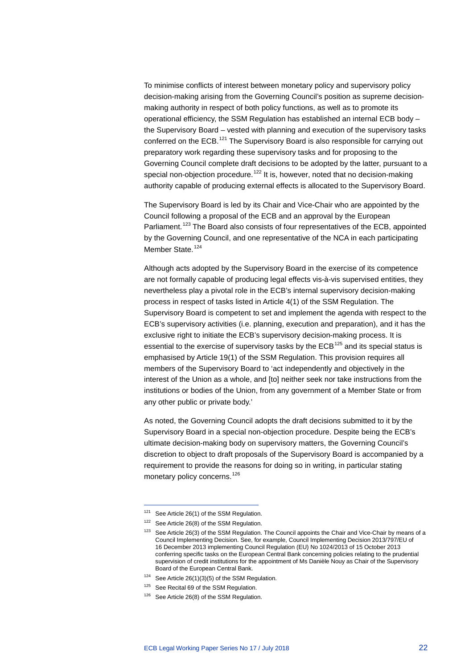To minimise conflicts of interest between monetary policy and supervisory policy decision-making arising from the Governing Council's position as supreme decisionmaking authority in respect of both policy functions, as well as to promote its operational efficiency, the SSM Regulation has established an internal ECB body – the Supervisory Board – vested with planning and execution of the supervisory tasks conferred on the ECB.<sup>[121](#page-22-0)</sup> The Supervisory Board is also responsible for carrying out preparatory work regarding these supervisory tasks and for proposing to the Governing Council complete draft decisions to be adopted by the latter, pursuant to a special non-objection procedure.<sup>[122](#page-22-1)</sup> It is, however, noted that no decision-making authority capable of producing external effects is allocated to the Supervisory Board.

The Supervisory Board is led by its Chair and Vice-Chair who are appointed by the Council following a proposal of the ECB and an approval by the European Parliament.<sup>[123](#page-22-2)</sup> The Board also consists of four representatives of the ECB, appointed by the Governing Council, and one representative of the NCA in each participating Member State.<sup>[124](#page-22-3)</sup>

Although acts adopted by the Supervisory Board in the exercise of its competence are not formally capable of producing legal effects vis-à-vis supervised entities, they nevertheless play a pivotal role in the ECB's internal supervisory decision-making process in respect of tasks listed in Article 4(1) of the SSM Regulation. The Supervisory Board is competent to set and implement the agenda with respect to the ECB's supervisory activities (i.e. planning, execution and preparation), and it has the exclusive right to initiate the ECB's supervisory decision-making process. It is essential to the exercise of supervisory tasks by the ECB<sup>[125](#page-22-4)</sup> and its special status is emphasised by Article 19(1) of the SSM Regulation. This provision requires all members of the Supervisory Board to 'act independently and objectively in the interest of the Union as a whole, and [to] neither seek nor take instructions from the institutions or bodies of the Union, from any government of a Member State or from any other public or private body.'

As noted, the Governing Council adopts the draft decisions submitted to it by the Supervisory Board in a special non-objection procedure. Despite being the ECB's ultimate decision-making body on supervisory matters, the Governing Council's discretion to object to draft proposals of the Supervisory Board is accompanied by a requirement to provide the reasons for doing so in writing, in particular stating monetary policy concerns.<sup>[126](#page-22-5)</sup>

<span id="page-22-0"></span><sup>121</sup> See Article 26(1) of the SSM Regulation.

<span id="page-22-1"></span><sup>122</sup> See Article 26(8) of the SSM Regulation.

<span id="page-22-2"></span><sup>&</sup>lt;sup>123</sup> See Article 26(3) of the SSM Regulation. The Council appoints the Chair and Vice-Chair by means of a Council Implementing Decision. See, for example, Council Implementing Decision 2013/797/EU of 16 December 2013 implementing Council Regulation (EU) No 1024/2013 of 15 October 2013 conferring specific tasks on the European Central Bank concerning policies relating to the prudential supervision of credit institutions for the appointment of Ms Danièle Nouy as Chair of the Supervisory Board of the European Central Bank.

<span id="page-22-3"></span> $124$  See Article 26(1)(3)(5) of the SSM Regulation.

<span id="page-22-4"></span><sup>&</sup>lt;sup>125</sup> See Recital 69 of the SSM Regulation.

<span id="page-22-5"></span><sup>&</sup>lt;sup>126</sup> See Article 26(8) of the SSM Regulation.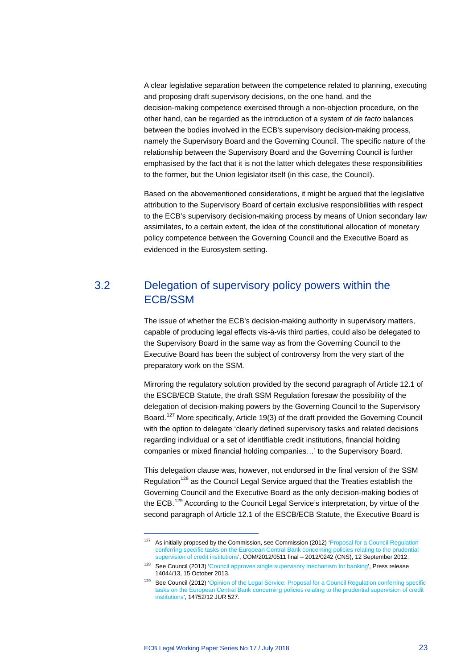A clear legislative separation between the competence related to planning, executing and proposing draft supervisory decisions, on the one hand, and the decision-making competence exercised through a non-objection procedure, on the other hand, can be regarded as the introduction of a system of *de facto* balances between the bodies involved in the ECB's supervisory decision-making process, namely the Supervisory Board and the Governing Council. The specific nature of the relationship between the Supervisory Board and the Governing Council is further emphasised by the fact that it is not the latter which delegates these responsibilities to the former, but the Union legislator itself (in this case, the Council).

Based on the abovementioned considerations, it might be argued that the legislative attribution to the Supervisory Board of certain exclusive responsibilities with respect to the ECB's supervisory decision-making process by means of Union secondary law assimilates, to a certain extent, the idea of the constitutional allocation of monetary policy competence between the Governing Council and the Executive Board as evidenced in the Eurosystem setting.

## <span id="page-23-0"></span>3.2 Delegation of supervisory policy powers within the ECB/SSM

The issue of whether the ECB's decision-making authority in supervisory matters, capable of producing legal effects vis-à-vis third parties, could also be delegated to the Supervisory Board in the same way as from the Governing Council to the Executive Board has been the subject of controversy from the very start of the preparatory work on the SSM.

Mirroring the regulatory solution provided by the second paragraph of Article 12.1 of the ESCB/ECB Statute, the draft SSM Regulation foresaw the possibility of the delegation of decision-making powers by the Governing Council to the Supervisory Board.<sup>[127](#page-23-1)</sup> More specifically, Article 19(3) of the draft provided the Governing Council with the option to delegate 'clearly defined supervisory tasks and related decisions regarding individual or a set of identifiable credit institutions, financial holding companies or mixed financial holding companies…' to the Supervisory Board.

This delegation clause was, however, not endorsed in the final version of the SSM Regulation<sup>[128](#page-23-2)</sup> as the Council Legal Service argued that the Treaties establish the Governing Council and the Executive Board as the only decision-making bodies of the ECB.<sup>[129](#page-23-3)</sup> According to the Council Legal Service's interpretation, by virtue of the second paragraph of Article 12.1 of the ESCB/ECB Statute, the Executive Board is

<span id="page-23-1"></span><sup>&</sup>lt;sup>127</sup> As initially proposed by the Commission, see Commission (2012) 'Proposal for a Council Regulation [conferring specific tasks on the European Central Bank concerning policies relating to the prudential](https://eur-lex.europa.eu/legal-content/EN/TXT/HTML/?uri=CELEX:52012PC0511&from=EN)  [supervision of credit institutions',](https://eur-lex.europa.eu/legal-content/EN/TXT/HTML/?uri=CELEX:52012PC0511&from=EN) COM/2012/0511 final – 2012/0242 (CNS), 12 September 2012.

<span id="page-23-2"></span><sup>&</sup>lt;sup>128</sup> See Council (2013) ['Council approves single supervisory mechanism for banking',](http://www.consilium.europa.eu/uedocs/cms_data/docs/pressdata/en/ecofin/139012.pdf) Press release 14044/13, 15 October 2013.

<span id="page-23-3"></span><sup>129</sup> See Council (2012) 'Opinion of the Legal Service: Proposal for a Council Regulation conferring specific [tasks on the European Central Bank concerning policies relating to the prudential supervision of credit](http://data.consilium.europa.eu/doc/document/ST-14752-2012-INIT/en/pdf)  [institutions',](http://data.consilium.europa.eu/doc/document/ST-14752-2012-INIT/en/pdf) 14752/12 JUR 527.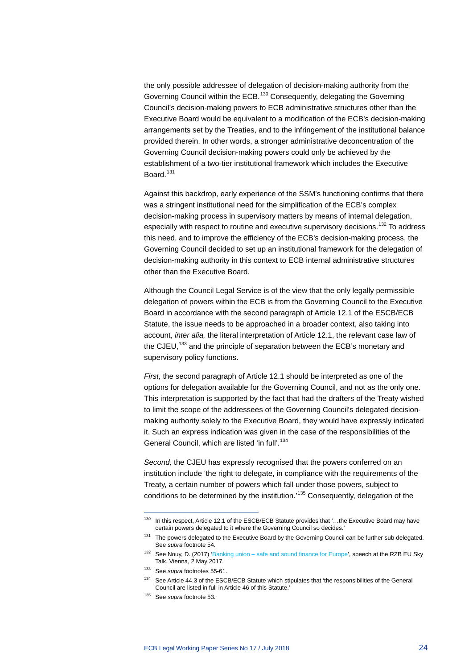the only possible addressee of delegation of decision-making authority from the Governing Council within the ECB.<sup>[130](#page-24-0)</sup> Consequently, delegating the Governing Council's decision-making powers to ECB administrative structures other than the Executive Board would be equivalent to a modification of the ECB's decision-making arrangements set by the Treaties, and to the infringement of the institutional balance provided therein. In other words, a stronger administrative deconcentration of the Governing Council decision-making powers could only be achieved by the establishment of a two-tier institutional framework which includes the Executive Board.<sup>[131](#page-24-1)</sup>

Against this backdrop, early experience of the SSM's functioning confirms that there was a stringent institutional need for the simplification of the ECB's complex decision-making process in supervisory matters by means of internal delegation, especially with respect to routine and executive supervisory decisions.<sup>[132](#page-24-2)</sup> To address this need, and to improve the efficiency of the ECB's decision-making process, the Governing Council decided to set up an institutional framework for the delegation of decision-making authority in this context to ECB internal administrative structures other than the Executive Board.

Although the Council Legal Service is of the view that the only legally permissible delegation of powers within the ECB is from the Governing Council to the Executive Board in accordance with the second paragraph of Article 12.1 of the ESCB/ECB Statute, the issue needs to be approached in a broader context, also taking into account, *inter alia,* the literal interpretation of Article 12.1, the relevant case law of the CJEU,<sup>[133](#page-24-3)</sup> and the principle of separation between the ECB's monetary and supervisory policy functions.

*First,* the second paragraph of Article 12.1 should be interpreted as one of the options for delegation available for the Governing Council, and not as the only one. This interpretation is supported by the fact that had the drafters of the Treaty wished to limit the scope of the addressees of the Governing Council's delegated decisionmaking authority solely to the Executive Board, they would have expressly indicated it. Such an express indication was given in the case of the responsibilities of the General Council, which are listed 'in full'.<sup>[134](#page-24-4)</sup>

*Second,* the CJEU has expressly recognised that the powers conferred on an institution include 'the right to delegate, in compliance with the requirements of the Treaty, a certain number of powers which fall under those powers, subject to conditions to be determined by the institution.'[135](#page-24-5) Consequently, delegation of the

<span id="page-24-0"></span><sup>130</sup> In this respect, Article 12.1 of the ESCB/ECB Statute provides that '...the Executive Board may have certain powers delegated to it where the Governing Council so decides.'

<span id="page-24-1"></span><sup>131</sup> The powers delegated to the Executive Board by the Governing Council can be further sub-delegated. See *supra* footnote 54.

<span id="page-24-2"></span><sup>132</sup> See Nouy, D. (2017) 'Banking union – [safe and sound finance for Europe',](https://www.bankingsupervision.europa.eu/press/speeches/date/2017/html/ssm.sp170502_1.en.html) speech at the RZB EU Sky Talk, Vienna, 2 May 2017.

<span id="page-24-3"></span><sup>133</sup> See *supra* footnotes 55-61.

<span id="page-24-4"></span><sup>134</sup> See Article 44.3 of the ESCB/ECB Statute which stipulates that 'the responsibilities of the General Council are listed in full in Article 46 of this Statute.'

<span id="page-24-5"></span><sup>135</sup> See *supra* footnote 53.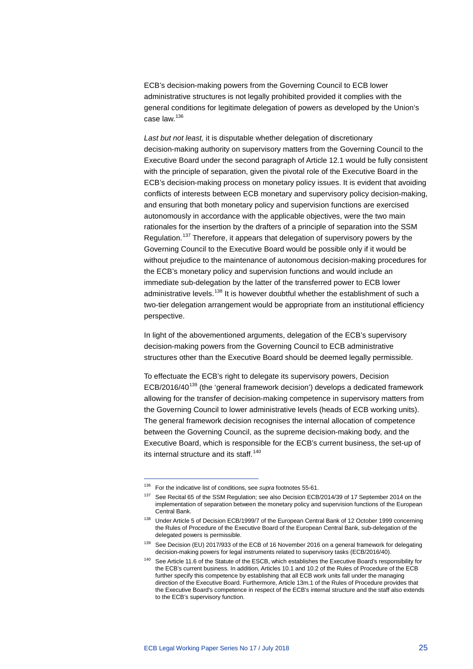ECB's decision-making powers from the Governing Council to ECB lower administrative structures is not legally prohibited provided it complies with the general conditions for legitimate delegation of powers as developed by the Union's case law.<sup>[136](#page-25-0)</sup>

*Last but not least,* it is disputable whether delegation of discretionary decision-making authority on supervisory matters from the Governing Council to the Executive Board under the second paragraph of Article 12.1 would be fully consistent with the principle of separation, given the pivotal role of the Executive Board in the ECB's decision-making process on monetary policy issues. It is evident that avoiding conflicts of interests between ECB monetary and supervisory policy decision-making, and ensuring that both monetary policy and supervision functions are exercised autonomously in accordance with the applicable objectives, were the two main rationales for the insertion by the drafters of a principle of separation into the SSM Regulation.<sup>[137](#page-25-1)</sup> Therefore, it appears that delegation of supervisory powers by the Governing Council to the Executive Board would be possible only if it would be without prejudice to the maintenance of autonomous decision-making procedures for the ECB's monetary policy and supervision functions and would include an immediate sub-delegation by the latter of the transferred power to ECB lower administrative levels.<sup>[138](#page-25-2)</sup> It is however doubtful whether the establishment of such a two-tier delegation arrangement would be appropriate from an institutional efficiency perspective.

In light of the abovementioned arguments, delegation of the ECB's supervisory decision-making powers from the Governing Council to ECB administrative structures other than the Executive Board should be deemed legally permissible.

To effectuate the ECB's right to delegate its supervisory powers, Decision ECB/2016/40<sup>[139](#page-25-3)</sup> (the 'general framework decision') develops a dedicated framework allowing for the transfer of decision-making competence in supervisory matters from the Governing Council to lower administrative levels (heads of ECB working units). The general framework decision recognises the internal allocation of competence between the Governing Council, as the supreme decision-making body, and the Executive Board, which is responsible for the ECB's current business, the set-up of its internal structure and its staff.<sup>[140](#page-25-4)</sup>

<span id="page-25-1"></span><span id="page-25-0"></span><sup>136</sup> For the indicative list of conditions, see *supra* footnotes 55-61.

<sup>137</sup> See Recital 65 of the SSM Regulation; see also Decision ECB/2014/39 of 17 September 2014 on the implementation of separation between the monetary policy and supervision functions of the European Central Bank.

<span id="page-25-2"></span><sup>138</sup> Under Article 5 of Decision ECB/1999/7 of the European Central Bank of 12 October 1999 concerning the Rules of Procedure of the Executive Board of the European Central Bank, sub-delegation of the delegated powers is permissible.

<span id="page-25-3"></span><sup>&</sup>lt;sup>139</sup> See Decision (EU) 2017/933 of the ECB of 16 November 2016 on a general framework for delegating decision-making powers for legal instruments related to supervisory tasks (ECB/2016/40).

<span id="page-25-4"></span><sup>&</sup>lt;sup>140</sup> See Article 11.6 of the Statute of the ESCB, which establishes the Executive Board's responsibility for the ECB's current business. In addition, Articles 10.1 and 10.2 of the Rules of Procedure of the ECB further specify this competence by establishing that all ECB work units fall under the managing direction of the Executive Board. Furthermore, Article 13m.1 of the Rules of Procedure provides that the Executive Board's competence in respect of the ECB's internal structure and the staff also extends to the ECB's supervisory function.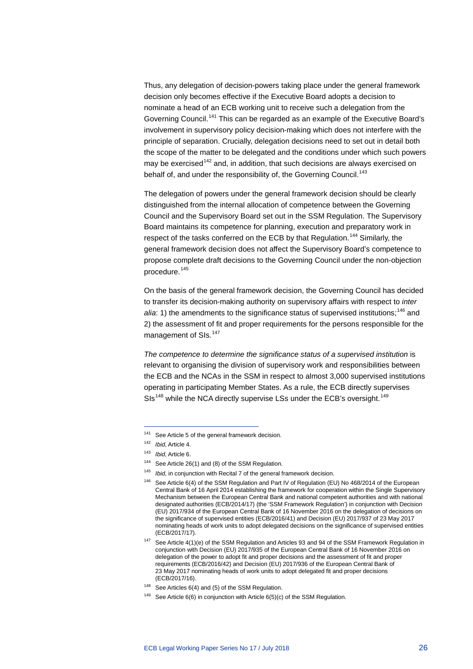Thus, any delegation of decision-powers taking place under the general framework decision only becomes effective if the Executive Board adopts a decision to nominate a head of an ECB working unit to receive such a delegation from the Governing Council.[141](#page-26-0) This can be regarded as an example of the Executive Board's involvement in supervisory policy decision-making which does not interfere with the principle of separation. Crucially, delegation decisions need to set out in detail both the scope of the matter to be delegated and the conditions under which such powers may be exercised<sup>[142](#page-26-1)</sup> and, in addition, that such decisions are always exercised on behalf of, and under the responsibility of, the Governing Council.<sup>[143](#page-26-2)</sup>

The delegation of powers under the general framework decision should be clearly distinguished from the internal allocation of competence between the Governing Council and the Supervisory Board set out in the SSM Regulation. The Supervisory Board maintains its competence for planning, execution and preparatory work in respect of the tasks conferred on the ECB by that Regulation.<sup>[144](#page-26-3)</sup> Similarly, the general framework decision does not affect the Supervisory Board's competence to propose complete draft decisions to the Governing Council under the non-objection procedure.[145](#page-26-4)

On the basis of the general framework decision, the Governing Council has decided to transfer its decision-making authority on supervisory affairs with respect to *inter*  alia: 1) the amendments to the significance status of supervised institutions;<sup>[146](#page-26-5)</sup> and 2) the assessment of fit and proper requirements for the persons responsible for the management of SIs.<sup>[147](#page-26-6)</sup>

*The competence to determine the significance status of a supervised institution* is relevant to organising the division of supervisory work and responsibilities between the ECB and the NCAs in the SSM in respect to almost 3,000 supervised institutions operating in participating Member States. As a rule, the ECB directly supervises SIs<sup>[148](#page-26-7)</sup> while the NCA directly supervise LSs under the ECB's oversight.<sup>[149](#page-26-8)</sup>

<span id="page-26-0"></span><sup>141</sup> See Article 5 of the general framework decision.

<sup>142</sup> *Ibid*, Article 4.

<span id="page-26-3"></span><span id="page-26-2"></span><span id="page-26-1"></span><sup>143</sup> *Ibid*, Article 6.

<sup>144</sup> See Article 26(1) and (8) of the SSM Regulation.

<span id="page-26-4"></span><sup>145</sup> *Ibid*, in conjunction with Recital 7 of the general framework decision.

<span id="page-26-5"></span><sup>146</sup> See Article 6(4) of the SSM Regulation and Part IV of Regulation (EU) No 468/2014 of the European Central Bank of 16 April 2014 establishing the framework for cooperation within the Single Supervisory Mechanism between the European Central Bank and national competent authorities and with national designated authorities (ECB/2014/17) (the 'SSM Framework Regulation') in conjunction with Decision (EU) 2017/934 of the European Central Bank of 16 November 2016 on the delegation of decisions on the significance of supervised entities (ECB/2016/41) and Decision (EU) 2017/937 of 23 May 2017 nominating heads of work units to adopt delegated decisions on the significance of supervised entities (ECB/2017/17).

<span id="page-26-6"></span><sup>&</sup>lt;sup>147</sup> See Article 4(1)(e) of the SSM Regulation and Articles 93 and 94 of the SSM Framework Regulation in conjunction with Decision (EU) 2017/935 of the European Central Bank of 16 November 2016 on delegation of the power to adopt fit and proper decisions and the assessment of fit and proper requirements (ECB/2016/42) and Decision (EU) 2017/936 of the European Central Bank of 23 May 2017 nominating heads of work units to adopt delegated fit and proper decisions (ECB/2017/16).

<span id="page-26-7"></span><sup>148</sup> See Articles 6(4) and (5) of the SSM Regulation.

<span id="page-26-8"></span><sup>&</sup>lt;sup>149</sup> See Article 6(6) in conjunction with Article 6(5)(c) of the SSM Regulation.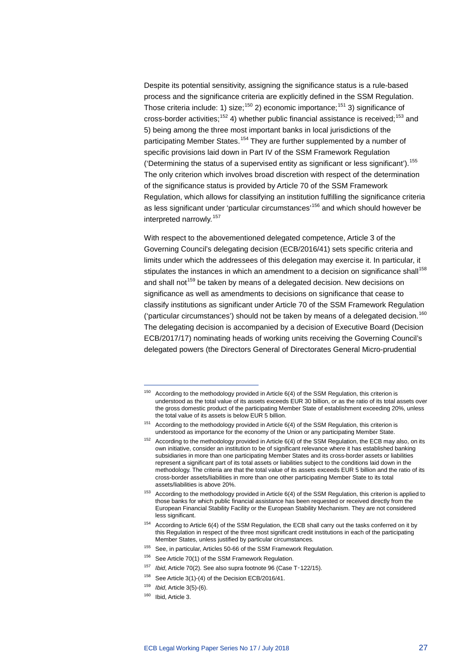Despite its potential sensitivity, assigning the significance status is a rule-based process and the significance criteria are explicitly defined in the SSM Regulation. Those criteria include: 1) size;<sup>[150](#page-27-0)</sup> 2) economic importance;<sup>[151](#page-27-1)</sup> 3) significance of cross-border activities;<sup>[152](#page-27-2)</sup> 4) whether public financial assistance is received:<sup>[153](#page-27-3)</sup> and 5) being among the three most important banks in local jurisdictions of the participating Member States.<sup>[154](#page-27-4)</sup> They are further supplemented by a number of specific provisions laid down in Part IV of the SSM Framework Regulation ('Determining the status of a supervised entity as significant or less significant').[155](#page-27-5) The only criterion which involves broad discretion with respect of the determination of the significance status is provided by Article 70 of the SSM Framework Regulation, which allows for classifying an institution fulfilling the significance criteria as less significant under 'particular circumstances'<sup>[156](#page-27-6)</sup> and which should however be interpreted narrowly.[157](#page-27-7)

With respect to the abovementioned delegated competence, Article 3 of the Governing Council's delegating decision (ECB/2016/41) sets specific criteria and limits under which the addressees of this delegation may exercise it. In particular, it stipulates the instances in which an amendment to a decision on significance shall<sup>[158](#page-27-8)</sup> and shall not<sup>[159](#page-27-9)</sup> be taken by means of a delegated decision. New decisions on significance as well as amendments to decisions on significance that cease to classify institutions as significant under Article 70 of the SSM Framework Regulation ('particular circumstances') should not be taken by means of a delegated decision.<sup>[160](#page-27-10)</sup> The delegating decision is accompanied by a decision of Executive Board (Decision ECB/2017/17) nominating heads of working units receiving the Governing Council's delegated powers (the Directors General of Directorates General Micro-prudential

- <span id="page-27-5"></span><sup>155</sup> See, in particular, Articles 50-66 of the SSM Framework Regulation.
- <span id="page-27-6"></span><sup>156</sup> See Article 70(1) of the SSM Framework Regulation.
- <span id="page-27-7"></span><sup>157</sup> *Ibid*, Article 70(2). See also supra footnote 96 (Case T-122/15).
- <sup>158</sup> See Article 3(1)-(4) of the Decision ECB/2016/41.

<sup>160</sup> Ibid, Article 3.

<span id="page-27-0"></span> $150$  According to the methodology provided in Article 6(4) of the SSM Regulation, this criterion is understood as the total value of its assets exceeds EUR 30 billion, or as the ratio of its total assets over the gross domestic product of the participating Member State of establishment exceeding 20%, unless the total value of its assets is below EUR 5 billion.

<span id="page-27-1"></span> $151$  According to the methodology provided in Article 6(4) of the SSM Regulation, this criterion is understood as importance for the economy of the Union or any participating Member State.

<span id="page-27-2"></span> $152$  According to the methodology provided in Article 6(4) of the SSM Regulation, the ECB may also, on its own initiative, consider an institution to be of significant relevance where it has established banking subsidiaries in more than one participating Member States and its cross-border assets or liabilities represent a significant part of its total assets or liabilities subject to the conditions laid down in the methodology. The criteria are that the total value of its assets exceeds EUR 5 billion and the ratio of its cross-border assets/liabilities in more than one other participating Member State to its total assets/liabilities is above 20%.

<span id="page-27-3"></span> $153$  According to the methodology provided in Article 6(4) of the SSM Regulation, this criterion is applied to those banks for which public financial assistance has been requested or received directly from the European Financial Stability Facility or the European Stability Mechanism. They are not considered less significant.

<span id="page-27-4"></span><sup>&</sup>lt;sup>154</sup> According to Article 6(4) of the SSM Regulation, the ECB shall carry out the tasks conferred on it by this Regulation in respect of the three most significant credit institutions in each of the participating Member States, unless justified by particular circumstances.

<span id="page-27-10"></span><span id="page-27-9"></span><span id="page-27-8"></span><sup>159</sup> *Ibid*, Article 3(5)-(6).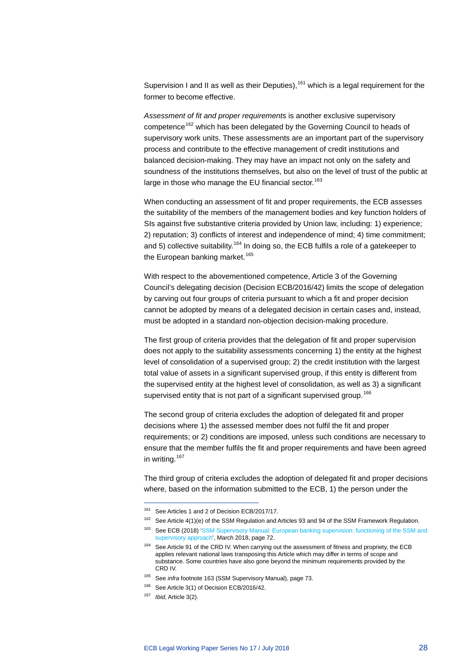Supervision I and II as well as their Deputies),  $161$  which is a legal requirement for the former to become effective.

*Assessment of fit and proper requirements* is another exclusive supervisory competence<sup>[162](#page-28-1)</sup> which has been delegated by the Governing Council to heads of supervisory work units. These assessments are an important part of the supervisory process and contribute to the effective management of credit institutions and balanced decision-making. They may have an impact not only on the safety and soundness of the institutions themselves, but also on the level of trust of the public at large in those who manage the EU financial sector.<sup>[163](#page-28-2)</sup>

When conducting an assessment of fit and proper requirements, the ECB assesses the suitability of the members of the management bodies and key function holders of SIs against five substantive criteria provided by Union law, including: 1) experience; 2) reputation; 3) conflicts of interest and independence of mind; 4) time commitment; and 5) collective suitability.<sup>[164](#page-28-3)</sup> In doing so, the ECB fulfils a role of a gatekeeper to the European banking market.<sup>[165](#page-28-4)</sup>

With respect to the abovementioned competence, Article 3 of the Governing Council's delegating decision (Decision ECB/2016/42) limits the scope of delegation by carving out four groups of criteria pursuant to which a fit and proper decision cannot be adopted by means of a delegated decision in certain cases and, instead, must be adopted in a standard non-objection decision-making procedure.

The first group of criteria provides that the delegation of fit and proper supervision does not apply to the suitability assessments concerning 1) the entity at the highest level of consolidation of a supervised group; 2) the credit institution with the largest total value of assets in a significant supervised group, if this entity is different from the supervised entity at the highest level of consolidation, as well as 3) a significant supervised entity that is not part of a significant supervised group.<sup>[166](#page-28-5)</sup>

The second group of criteria excludes the adoption of delegated fit and proper decisions where 1) the assessed member does not fulfil the fit and proper requirements; or 2) conditions are imposed, unless such conditions are necessary to ensure that the member fulfils the fit and proper requirements and have been agreed in writing.<sup>[167](#page-28-6)</sup>

The third group of criteria excludes the adoption of delegated fit and proper decisions where, based on the information submitted to the ECB, 1) the person under the

<span id="page-28-0"></span><sup>161</sup> See Articles 1 and 2 of Decision ECB/2017/17.

<span id="page-28-1"></span><sup>&</sup>lt;sup>162</sup> See Article 4(1)(e) of the SSM Regulation and Articles 93 and 94 of the SSM Framework Regulation.

<span id="page-28-2"></span><sup>163</sup> See ECB (2018) 'SSM Supervisory Manual: European banking supervision: functioning of the SSM and [supervisory approach',](https://www.bankingsupervision.europa.eu/ecb/pub/pdf/ssm.supervisorymanual201803.en.pdf) March 2018, page 72.

<span id="page-28-3"></span><sup>&</sup>lt;sup>164</sup> See Article 91 of the CRD IV. When carrying out the assessment of fitness and propriety, the ECB applies relevant national laws transposing this Article which may differ in terms of scope and substance. Some countries have also gone beyond the minimum requirements provided by the CRD IV.

<sup>165</sup> See *infra* footnote 163 (SSM Supervisory Manual), page 73.

<span id="page-28-6"></span><span id="page-28-5"></span><span id="page-28-4"></span><sup>&</sup>lt;sup>166</sup> See Article 3(1) of Decision ECB/2016/42.

<sup>167</sup> *Ibid*, Article 3(2).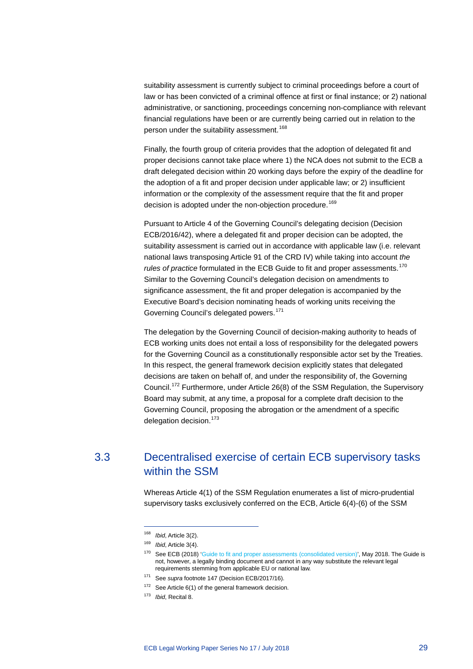suitability assessment is currently subject to criminal proceedings before a court of law or has been convicted of a criminal offence at first or final instance; or 2) national administrative, or sanctioning, proceedings concerning non-compliance with relevant financial regulations have been or are currently being carried out in relation to the person under the suitability assessment.<sup>[168](#page-29-1)</sup>

Finally, the fourth group of criteria provides that the adoption of delegated fit and proper decisions cannot take place where 1) the NCA does not submit to the ECB a draft delegated decision within 20 working days before the expiry of the deadline for the adoption of a fit and proper decision under applicable law; or 2) insufficient information or the complexity of the assessment require that the fit and proper decision is adopted under the non-objection procedure.<sup>[169](#page-29-2)</sup>

Pursuant to Article 4 of the Governing Council's delegating decision (Decision ECB/2016/42), where a delegated fit and proper decision can be adopted, the suitability assessment is carried out in accordance with applicable law (i.e. relevant national laws transposing Article 91 of the CRD IV) while taking into account *the rules of practice* formulated in the ECB Guide to fit and proper assessments.<sup>[170](#page-29-3)</sup> Similar to the Governing Council's delegation decision on amendments to significance assessment, the fit and proper delegation is accompanied by the Executive Board's decision nominating heads of working units receiving the Governing Council's delegated powers.<sup>[171](#page-29-4)</sup>

The delegation by the Governing Council of decision-making authority to heads of ECB working units does not entail a loss of responsibility for the delegated powers for the Governing Council as a constitutionally responsible actor set by the Treaties. In this respect, the general framework decision explicitly states that delegated decisions are taken on behalf of, and under the responsibility of, the Governing Council.[172](#page-29-5) Furthermore, under Article 26(8) of the SSM Regulation, the Supervisory Board may submit, at any time, a proposal for a complete draft decision to the Governing Council, proposing the abrogation or the amendment of a specific delegation decision.<sup>[173](#page-29-6)</sup>

## <span id="page-29-3"></span><span id="page-29-2"></span><span id="page-29-1"></span><span id="page-29-0"></span>3.3 Decentralised exercise of certain ECB supervisory tasks within the SSM

Whereas Article 4(1) of the SSM Regulation enumerates a list of micro-prudential supervisory tasks exclusively conferred on the ECB, Article 6(4)-(6) of the SSM

<sup>168</sup> *Ibid*, Article 3(2).

<sup>169</sup> *Ibid*, Article 3(4).

<sup>&</sup>lt;sup>170</sup> See ECB (2018) ['Guide to fit and proper assessments \(consolidated version\)',](https://www.bankingsupervision.europa.eu/ecb/pub/pdf/ssm.fap_guide_201705_rev_201805.en.pdf) May 2018. The Guide is not, however, a legally binding document and cannot in any way substitute the relevant legal requirements stemming from applicable EU or national law.

<sup>171</sup> See *supra* footnote 147 (Decision ECB/2017/16).

<span id="page-29-6"></span><span id="page-29-5"></span><span id="page-29-4"></span><sup>&</sup>lt;sup>172</sup> See Article 6(1) of the general framework decision.

<sup>173</sup> *Ibid*, Recital 8.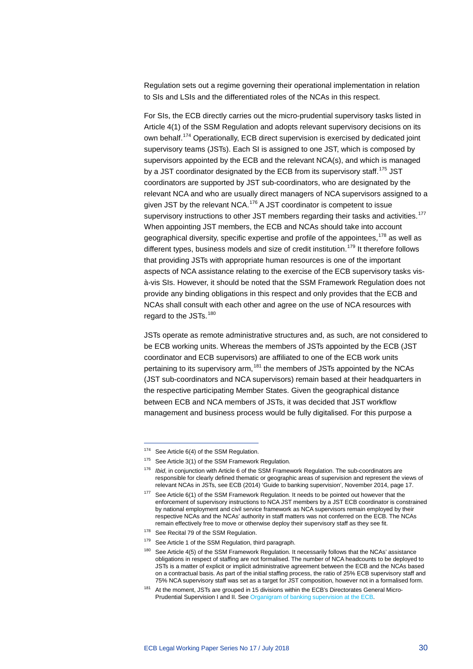Regulation sets out a regime governing their operational implementation in relation to SIs and LSIs and the differentiated roles of the NCAs in this respect.

For SIs, the ECB directly carries out the micro-prudential supervisory tasks listed in Article 4(1) of the SSM Regulation and adopts relevant supervisory decisions on its own behalf.[174](#page-30-0) Operationally, ECB direct supervision is exercised by dedicated joint supervisory teams (JSTs). Each SI is assigned to one JST, which is composed by supervisors appointed by the ECB and the relevant NCA(s), and which is managed by a JST coordinator designated by the ECB from its supervisory staff.<sup>[175](#page-30-1)</sup> JST coordinators are supported by JST sub-coordinators, who are designated by the relevant NCA and who are usually direct managers of NCA supervisors assigned to a given JST by the relevant NCA.<sup>[176](#page-30-2)</sup> A JST coordinator is competent to issue supervisory instructions to other JST members regarding their tasks and activities.<sup>[177](#page-30-3)</sup> When appointing JST members, the ECB and NCAs should take into account geographical diversity, specific expertise and profile of the appointees,  $178$  as well as different types, business models and size of credit institution.<sup>[179](#page-30-5)</sup> It therefore follows that providing JSTs with appropriate human resources is one of the important aspects of NCA assistance relating to the exercise of the ECB supervisory tasks visà-vis SIs. However, it should be noted that the SSM Framework Regulation does not provide any binding obligations in this respect and only provides that the ECB and NCAs shall consult with each other and agree on the use of NCA resources with regard to the JSTs.<sup>[180](#page-30-6)</sup>

JSTs operate as remote administrative structures and, as such, are not considered to be ECB working units. Whereas the members of JSTs appointed by the ECB (JST coordinator and ECB supervisors) are affiliated to one of the ECB work units pertaining to its supervisory arm,<sup>[181](#page-30-7)</sup> the members of JSTs appointed by the NCAs (JST sub-coordinators and NCA supervisors) remain based at their headquarters in the respective participating Member States. Given the geographical distance between ECB and NCA members of JSTs, it was decided that JST workflow management and business process would be fully digitalised. For this purpose a

<span id="page-30-0"></span><sup>174</sup> See Article 6(4) of the SSM Regulation.

<span id="page-30-1"></span><sup>&</sup>lt;sup>175</sup> See Article 3(1) of the SSM Framework Regulation.

<span id="page-30-2"></span><sup>176</sup> *Ibid*, in conjunction with Article 6 of the SSM Framework Regulation. The sub-coordinators are responsible for clearly defined thematic or geographic areas of supervision and represent the views of relevant NCAs in JSTs, see ECB (2014) 'Guide to banking supervision', November 2014, page 17.

<span id="page-30-3"></span><sup>&</sup>lt;sup>177</sup> See Article 6(1) of the SSM Framework Regulation. It needs to be pointed out however that the enforcement of supervisory instructions to NCA JST members by a JST ECB coordinator is constrained by national employment and civil service framework as NCA supervisors remain employed by their respective NCAs and the NCAs' authority in staff matters was not conferred on the ECB. The NCAs remain effectively free to move or otherwise deploy their supervisory staff as they see fit.

<span id="page-30-4"></span><sup>&</sup>lt;sup>178</sup> See Recital 79 of the SSM Regulation.

<span id="page-30-5"></span><sup>&</sup>lt;sup>179</sup> See Article 1 of the SSM Regulation, third paragraph.

<span id="page-30-6"></span><sup>&</sup>lt;sup>180</sup> See Article 4(5) of the SSM Framework Regulation. It necessarily follows that the NCAs' assistance obligations in respect of staffing are not formalised. The number of NCA headcounts to be deployed to JSTs is a matter of explicit or implicit administrative agreement between the ECB and the NCAs based on a contractual basis. As part of the initial staffing process, the ratio of 25% ECB supervisory staff and 75% NCA supervisory staff was set as a target for JST composition, however not in a formalised form.

<span id="page-30-7"></span><sup>&</sup>lt;sup>181</sup> At the moment, JSTs are grouped in 15 divisions within the ECB's Directorates General Micro-Prudential Supervision I and II. Se[e Organigram of banking supervision at the ECB.](https://www.bankingsupervision.europa.eu/organisation/whoiswho/organigram/html/index.en.html)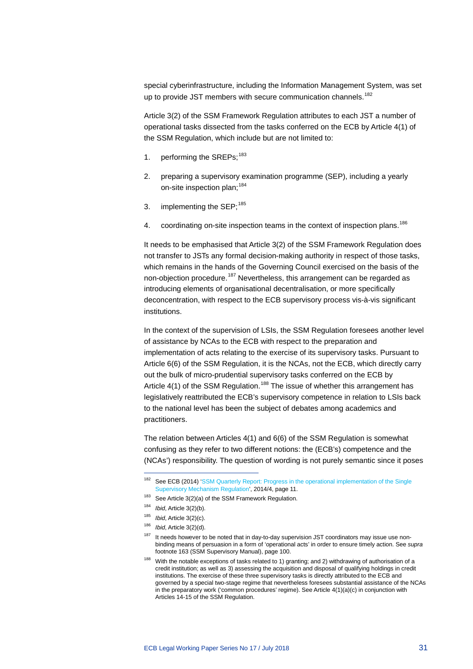special cyberinfrastructure, including the Information Management System, was set up to provide JST members with secure communication channels.<sup>[182](#page-31-0)</sup>

Article 3(2) of the SSM Framework Regulation attributes to each JST a number of operational tasks dissected from the tasks conferred on the ECB by Article 4(1) of the SSM Regulation, which include but are not limited to:

- 1. performing the SREPs;<sup>[183](#page-31-1)</sup>
- 2. preparing a supervisory examination programme (SEP), including a yearly on-site inspection plan: [184](#page-31-2)
- 3. implementing the SEP; $^{185}$  $^{185}$  $^{185}$
- 4. coordinating on-site inspection teams in the context of inspection plans.<sup>[186](#page-31-4)</sup>

It needs to be emphasised that Article 3(2) of the SSM Framework Regulation does not transfer to JSTs any formal decision-making authority in respect of those tasks, which remains in the hands of the Governing Council exercised on the basis of the non-objection procedure.<sup>[187](#page-31-5)</sup> Nevertheless, this arrangement can be regarded as introducing elements of organisational decentralisation, or more specifically deconcentration, with respect to the ECB supervisory process vis-à-vis significant institutions.

In the context of the supervision of LSIs, the SSM Regulation foresees another level of assistance by NCAs to the ECB with respect to the preparation and implementation of acts relating to the exercise of its supervisory tasks. Pursuant to Article 6(6) of the SSM Regulation, it is the NCAs, not the ECB, which directly carry out the bulk of micro-prudential supervisory tasks conferred on the ECB by Article  $4(1)$  of the SSM Regulation.<sup>[188](#page-31-6)</sup> The issue of whether this arrangement has legislatively reattributed the ECB's supervisory competence in relation to LSIs back to the national level has been the subject of debates among academics and practitioners.

The relation between Articles 4(1) and 6(6) of the SSM Regulation is somewhat confusing as they refer to two different notions: the (ECB's) competence and the (NCAs') responsibility. The question of wording is not purely semantic since it poses

<span id="page-31-0"></span><sup>&</sup>lt;sup>182</sup> See ECB (2014) 'SSM Quarterly Report: Progress in the operational implementation of the Single [Supervisory Mechanism Regulation',](https://www.bankingsupervision.europa.eu/ecb/pub/pdf/ssmqr20144.en.pdf) 2014/4, page 11.

<span id="page-31-1"></span> $183$  See Article 3(2)(a) of the SSM Framework Regulation.

<span id="page-31-2"></span><sup>184</sup> *Ibid*, Article 3(2)(b).

<span id="page-31-3"></span><sup>185</sup> *Ibid*, Article 3(2)(c).

<span id="page-31-5"></span><span id="page-31-4"></span> $186$  *Ibid*, Article 3(2)(d).

It needs however to be noted that in day-to-day supervision JST coordinators may issue use nonbinding means of persuasion in a form of 'operational acts' in order to ensure timely action. See *supra* footnote 163 (SSM Supervisory Manual), page 100.

<span id="page-31-6"></span> $188$  With the notable exceptions of tasks related to 1) granting; and 2) withdrawing of authorisation of a credit institution; as well as 3) assessing the acquisition and disposal of qualifying holdings in credit institutions. The exercise of these three supervisory tasks is directly attributed to the ECB and governed by a special two-stage regime that nevertheless foresees substantial assistance of the NCAs in the preparatory work ('common procedures' regime). See Article 4(1)(a)(c) in conjunction with Articles 14-15 of the SSM Regulation.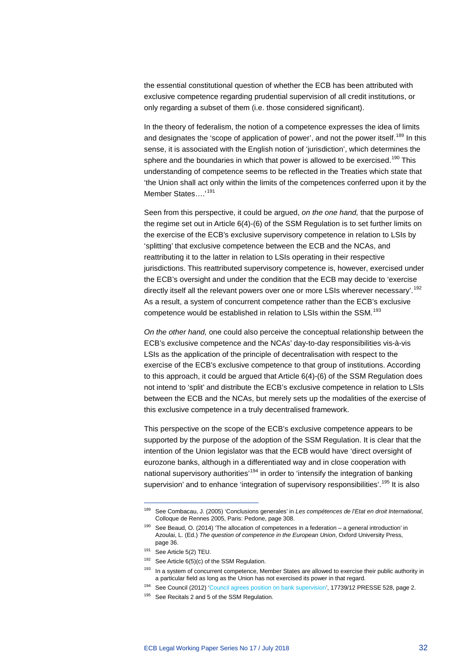the essential constitutional question of whether the ECB has been attributed with exclusive competence regarding prudential supervision of all credit institutions, or only regarding a subset of them (i.e. those considered significant).

In the theory of federalism, the notion of a competence expresses the idea of limits and designates the 'scope of application of power', and not the power itself.<sup>[189](#page-32-0)</sup> In this sense, it is associated with the English notion of 'jurisdiction', which determines the sphere and the boundaries in which that power is allowed to be exercised.<sup>[190](#page-32-1)</sup> This understanding of competence seems to be reflected in the Treaties which state that 'the Union shall act only within the limits of the competences conferred upon it by the Member States....<sup>'[191](#page-32-2)</sup>

Seen from this perspective, it could be argued, *on the one hand,* that the purpose of the regime set out in Article 6(4)-(6) of the SSM Regulation is to set further limits on the exercise of the ECB's exclusive supervisory competence in relation to LSIs by 'splitting' that exclusive competence between the ECB and the NCAs, and reattributing it to the latter in relation to LSIs operating in their respective jurisdictions. This reattributed supervisory competence is, however, exercised under the ECB's oversight and under the condition that the ECB may decide to 'exercise directly itself all the relevant powers over one or more LSIs wherever necessary'.<sup>[192](#page-32-3)</sup> As a result, a system of concurrent competence rather than the ECB's exclusive competence would be established in relation to LSIs within the SSM.<sup>[193](#page-32-4)</sup>

*On the other hand,* one could also perceive the conceptual relationship between the ECB's exclusive competence and the NCAs' day-to-day responsibilities vis-à-vis LSIs as the application of the principle of decentralisation with respect to the exercise of the ECB's exclusive competence to that group of institutions. According to this approach, it could be argued that Article 6(4)-(6) of the SSM Regulation does not intend to 'split' and distribute the ECB's exclusive competence in relation to LSIs between the ECB and the NCAs, but merely sets up the modalities of the exercise of this exclusive competence in a truly decentralised framework.

This perspective on the scope of the ECB's exclusive competence appears to be supported by the purpose of the adoption of the SSM Regulation. It is clear that the intention of the Union legislator was that the ECB would have 'direct oversight of eurozone banks, although in a differentiated way and in close cooperation with national supervisory authorities'<sup>[194](#page-32-5)</sup> in order to 'intensify the integration of banking supervision' and to enhance 'integration of supervisory responsibilities'.<sup>[195](#page-32-6)</sup> It is also

<span id="page-32-0"></span><sup>189</sup> See Combacau, J. (2005) 'Conclusions generales' in *Les compétences de l'Etat en droit International*, Colloque de Rennes 2005, Paris: Pedone, page 308.

<span id="page-32-1"></span> $190$  See Beaud, O. (2014) 'The allocation of competences in a federation – a general introduction' in Azoulai, L. (Ed.) *The question of competence in the European Union*, Oxford University Press, page 36.

<span id="page-32-3"></span><span id="page-32-2"></span><sup>191</sup> See Article 5(2) TEU.

 $192$  See Article 6(5)(c) of the SSM Regulation.

<sup>&</sup>lt;sup>193</sup> In a system of concurrent competence, Member States are allowed to exercise their public authority in a particular field as long as the Union has not exercised its power in that regard.

<span id="page-32-6"></span><span id="page-32-5"></span><span id="page-32-4"></span><sup>194</sup> See Council (2012) ['Council agrees position on bank supervision',](http://www.consilium.europa.eu/uedocs/cms_data/docs/pressdata/en/ecofin/134265.pdf) 17739/12 PRESSE 528, page 2.

<sup>&</sup>lt;sup>195</sup> See Recitals 2 and 5 of the SSM Regulation.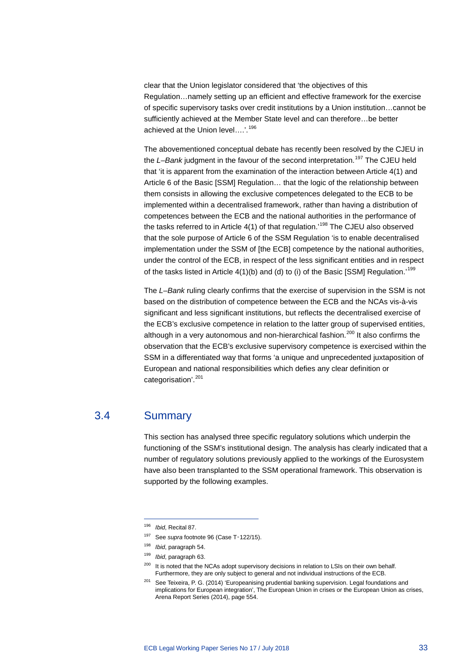clear that the Union legislator considered that 'the objectives of this Regulation…namely setting up an efficient and effective framework for the exercise of specific supervisory tasks over credit institutions by a Union institution…cannot be sufficiently achieved at the Member State level and can therefore…be better achieved at the Union level….'.[196](#page-33-1)

The abovementioned conceptual debate has recently been resolved by the CJEU in the *L-Bank* judgment in the favour of the second interpretation.<sup>[197](#page-33-2)</sup> The CJEU held that 'it is apparent from the examination of the interaction between Article 4(1) and Article 6 of the Basic [SSM] Regulation… that the logic of the relationship between them consists in allowing the exclusive competences delegated to the ECB to be implemented within a decentralised framework, rather than having a distribution of competences between the ECB and the national authorities in the performance of the tasks referred to in Article 4(1) of that regulation.<sup>[198](#page-33-3)</sup> The CJEU also observed that the sole purpose of Article 6 of the SSM Regulation 'is to enable decentralised implementation under the SSM of [the ECB] competence by the national authorities, under the control of the ECB, in respect of the less significant entities and in respect of the tasks listed in Article 4(1)(b) and (d) to (i) of the Basic [SSM] Regulation.<sup>'[199](#page-33-4)</sup>

The *L–Bank* ruling clearly confirms that the exercise of supervision in the SSM is not based on the distribution of competence between the ECB and the NCAs vis-à-vis significant and less significant institutions, but reflects the decentralised exercise of the ECB's exclusive competence in relation to the latter group of supervised entities, although in a very autonomous and non-hierarchical fashion.<sup>[200](#page-33-5)</sup> It also confirms the observation that the ECB's exclusive supervisory competence is exercised within the SSM in a differentiated way that forms 'a unique and unprecedented juxtaposition of European and national responsibilities which defies any clear definition or categorisation'.<sup>[201](#page-33-6)</sup>

### 3.4 Summary

-

<span id="page-33-0"></span>This section has analysed three specific regulatory solutions which underpin the functioning of the SSM's institutional design. The analysis has clearly indicated that a number of regulatory solutions previously applied to the workings of the Eurosystem have also been transplanted to the SSM operational framework. This observation is supported by the following examples.

<span id="page-33-1"></span><sup>196</sup> *Ibid*, Recital 87.

<span id="page-33-2"></span><sup>&</sup>lt;sup>197</sup> See *supra* footnote [96](#page-17-8) (Case T-122/15).

<span id="page-33-3"></span><sup>198</sup> *Ibid*, paragraph 54.

<span id="page-33-4"></span><sup>199</sup> *Ibid*, paragraph 63.

<span id="page-33-5"></span><sup>&</sup>lt;sup>200</sup> It is noted that the NCAs adopt supervisory decisions in relation to LSIs on their own behalf. Furthermore, they are only subject to general and not individual instructions of the ECB.

<span id="page-33-6"></span><sup>&</sup>lt;sup>201</sup> See Teixeira, P. G. (2014) 'Europeanising prudential banking supervision. Legal foundations and implications for European integration', The European Union in crises or the European Union as crises, Arena Report Series (2014), page 554.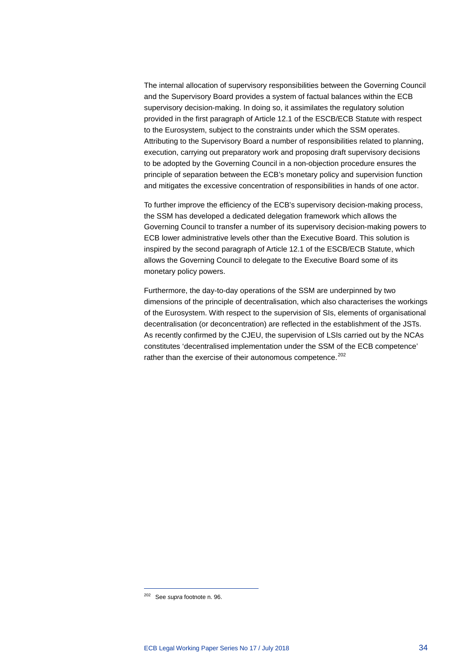The internal allocation of supervisory responsibilities between the Governing Council and the Supervisory Board provides a system of factual balances within the ECB supervisory decision-making. In doing so, it assimilates the regulatory solution provided in the first paragraph of Article 12.1 of the ESCB/ECB Statute with respect to the Eurosystem, subject to the constraints under which the SSM operates. Attributing to the Supervisory Board a number of responsibilities related to planning, execution, carrying out preparatory work and proposing draft supervisory decisions to be adopted by the Governing Council in a non-objection procedure ensures the principle of separation between the ECB's monetary policy and supervision function and mitigates the excessive concentration of responsibilities in hands of one actor.

To further improve the efficiency of the ECB's supervisory decision-making process, the SSM has developed a dedicated delegation framework which allows the Governing Council to transfer a number of its supervisory decision-making powers to ECB lower administrative levels other than the Executive Board. This solution is inspired by the second paragraph of Article 12.1 of the ESCB/ECB Statute, which allows the Governing Council to delegate to the Executive Board some of its monetary policy powers.

Furthermore, the day-to-day operations of the SSM are underpinned by two dimensions of the principle of decentralisation, which also characterises the workings of the Eurosystem. With respect to the supervision of SIs, elements of organisational decentralisation (or deconcentration) are reflected in the establishment of the JSTs. As recently confirmed by the CJEU, the supervision of LSIs carried out by the NCAs constitutes 'decentralised implementation under the SSM of the ECB competence' rather than the exercise of their autonomous competence.<sup>[202](#page-34-0)</sup>

<span id="page-34-0"></span><sup>202</sup> See *supra* footnote n. [96.](#page-17-8)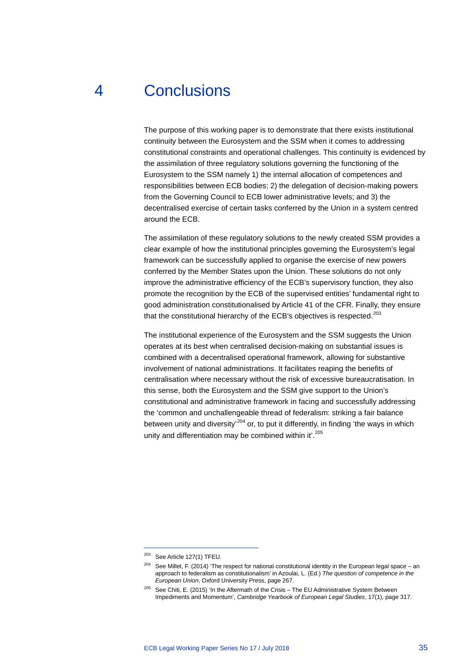## 4 Conclusions

<span id="page-35-0"></span>The purpose of this working paper is to demonstrate that there exists institutional continuity between the Eurosystem and the SSM when it comes to addressing constitutional constraints and operational challenges. This continuity is evidenced by the assimilation of three regulatory solutions governing the functioning of the Eurosystem to the SSM namely 1) the internal allocation of competences and responsibilities between ECB bodies; 2) the delegation of decision-making powers from the Governing Council to ECB lower administrative levels; and 3) the decentralised exercise of certain tasks conferred by the Union in a system centred around the ECB.

The assimilation of these regulatory solutions to the newly created SSM provides a clear example of how the institutional principles governing the Eurosystem's legal framework can be successfully applied to organise the exercise of new powers conferred by the Member States upon the Union. These solutions do not only improve the administrative efficiency of the ECB's supervisory function, they also promote the recognition by the ECB of the supervised entities' fundamental right to good administration constitutionalised by Article 41 of the CFR. Finally, they ensure that the constitutional hierarchy of the ECB's objectives is respected.<sup>[203](#page-35-1)</sup>

The institutional experience of the Eurosystem and the SSM suggests the Union operates at its best when centralised decision-making on substantial issues is combined with a decentralised operational framework, allowing for substantive involvement of national administrations. It facilitates reaping the benefits of centralisation where necessary without the risk of excessive bureaucratisation. In this sense, both the Eurosystem and the SSM give support to the Union's constitutional and administrative framework in facing and successfully addressing the 'common and unchallengeable thread of federalism: striking a fair balance between unity and diversity<sup>[204](#page-35-2)</sup> or, to put it differently, in finding 'the ways in which unity and differentiation may be combined within it'.<sup>[205](#page-35-3)</sup>

<span id="page-35-1"></span><sup>203</sup> See Article 127(1) TFEU.

<span id="page-35-2"></span> $204$  See Millet, F. (2014) 'The respect for national constitutional identity in the European legal space – an approach to federalism as constitutionalism' in Azoulai, L. (Ed.) *The question of competence in the European Union*, Oxford University Press, page 267.

<span id="page-35-3"></span><sup>&</sup>lt;sup>205</sup> See Chiti, E. (2015) 'In the Aftermath of the Crisis – The EU Administrative System Between Impediments and Momentum', *Cambridge Yearbook of European Legal Studies*, 17(1), page 317.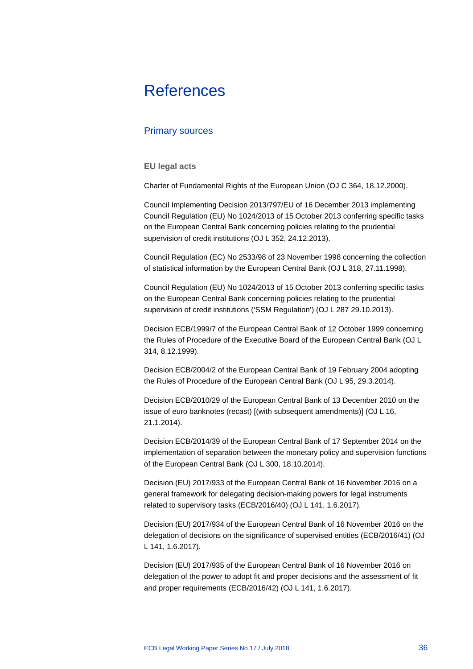# <span id="page-36-0"></span>**References**

### Primary sources

### **EU legal acts**

Charter of Fundamental Rights of the European Union (OJ C 364, 18.12.2000).

Council Implementing Decision 2013/797/EU of 16 December 2013 implementing Council Regulation (EU) No 1024/2013 of 15 October 2013 conferring specific tasks on the European Central Bank concerning policies relating to the prudential supervision of credit institutions (OJ L 352, 24.12.2013).

Council Regulation (EC) No 2533/98 of 23 November 1998 concerning the collection of statistical information by the European Central Bank (OJ L 318, 27.11.1998).

Council Regulation (EU) No 1024/2013 of 15 October 2013 conferring specific tasks on the European Central Bank concerning policies relating to the prudential supervision of credit institutions ('SSM Regulation') (OJ L 287 29.10.2013).

Decision ECB/1999/7 of the European Central Bank of 12 October 1999 concerning the Rules of Procedure of the Executive Board of the European Central Bank (OJ L 314, 8.12.1999).

Decision ECB/2004/2 of the European Central Bank of 19 February 2004 adopting the Rules of Procedure of the European Central Bank (OJ L 95, 29.3.2014).

Decision ECB/2010/29 of the European Central Bank of 13 December 2010 on the issue of euro banknotes (recast) [(with subsequent amendments)] (OJ L 16, 21.1.2014).

Decision ECB/2014/39 of the European Central Bank of 17 September 2014 on the implementation of separation between the monetary policy and supervision functions of the European Central Bank (OJ L 300, 18.10.2014).

Decision (EU) 2017/933 of the European Central Bank of 16 November 2016 on a general framework for delegating decision-making powers for legal instruments related to supervisory tasks (ECB/2016/40) (OJ L 141, 1.6.2017).

Decision (EU) 2017/934 of the European Central Bank of 16 November 2016 on the delegation of decisions on the significance of supervised entities (ECB/2016/41) (OJ L 141, 1.6.2017).

Decision (EU) 2017/935 of the European Central Bank of 16 November 2016 on delegation of the power to adopt fit and proper decisions and the assessment of fit and proper requirements (ECB/2016/42) (OJ L 141, 1.6.2017).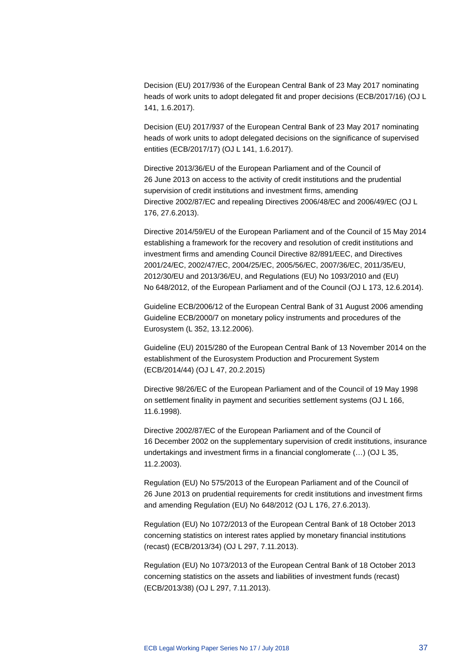Decision (EU) 2017/936 of the European Central Bank of 23 May 2017 nominating heads of work units to adopt delegated fit and proper decisions (ECB/2017/16) (OJ L 141, 1.6.2017).

Decision (EU) 2017/937 of the European Central Bank of 23 May 2017 nominating heads of work units to adopt delegated decisions on the significance of supervised entities (ECB/2017/17) (OJ L 141, 1.6.2017).

Directive 2013/36/EU of the European Parliament and of the Council of 26 June 2013 on access to the activity of credit institutions and the prudential supervision of credit institutions and investment firms, amending Directive 2002/87/EC and repealing Directives 2006/48/EC and 2006/49/EC (OJ L 176, 27.6.2013).

Directive 2014/59/EU of the European Parliament and of the Council of 15 May 2014 establishing a framework for the recovery and resolution of credit institutions and investment firms and amending Council Directive 82/891/EEC, and Directives 2001/24/EC, 2002/47/EC, 2004/25/EC, 2005/56/EC, 2007/36/EC, 2011/35/EU, 2012/30/EU and 2013/36/EU, and Regulations (EU) No 1093/2010 and (EU) No 648/2012, of the European Parliament and of the Council (OJ L 173, 12.6.2014).

Guideline ECB/2006/12 of the European Central Bank of 31 August 2006 amending Guideline ECB/2000/7 on monetary policy instruments and procedures of the Eurosystem (L 352, 13.12.2006).

Guideline (EU) 2015/280 of the European Central Bank of 13 November 2014 on the establishment of the Eurosystem Production and Procurement System (ECB/2014/44) (OJ L 47, 20.2.2015)

Directive 98/26/EC of the European Parliament and of the Council of 19 May 1998 on settlement finality in payment and securities settlement systems (OJ L 166, 11.6.1998).

Directive 2002/87/EC of the European Parliament and of the Council of 16 December 2002 on the supplementary supervision of credit institutions, insurance undertakings and investment firms in a financial conglomerate (…) (OJ L 35, 11.2.2003).

Regulation (EU) No 575/2013 of the European Parliament and of the Council of 26 June 2013 on prudential requirements for credit institutions and investment firms and amending Regulation (EU) No 648/2012 (OJ L 176, 27.6.2013).

Regulation (EU) No 1072/2013 of the European Central Bank of 18 October 2013 concerning statistics on interest rates applied by monetary financial institutions (recast) (ECB/2013/34) (OJ L 297, 7.11.2013).

Regulation (EU) No 1073/2013 of the European Central Bank of 18 October 2013 concerning statistics on the assets and liabilities of investment funds (recast) (ECB/2013/38) (OJ L 297, 7.11.2013).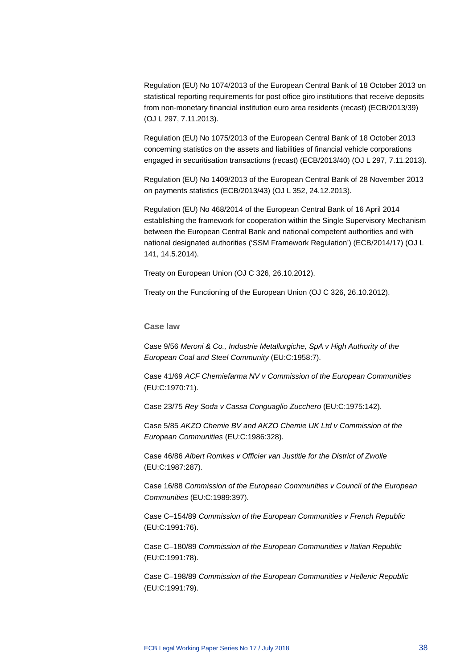Regulation (EU) No 1074/2013 of the European Central Bank of 18 October 2013 on statistical reporting requirements for post office giro institutions that receive deposits from non-monetary financial institution euro area residents (recast) (ECB/2013/39) (OJ L 297, 7.11.2013).

Regulation (EU) No 1075/2013 of the European Central Bank of 18 October 2013 concerning statistics on the assets and liabilities of financial vehicle corporations engaged in securitisation transactions (recast) (ECB/2013/40) (OJ L 297, 7.11.2013).

Regulation (EU) No 1409/2013 of the European Central Bank of 28 November 2013 on payments statistics (ECB/2013/43) (OJ L 352, 24.12.2013).

Regulation (EU) No 468/2014 of the European Central Bank of 16 April 2014 establishing the framework for cooperation within the Single Supervisory Mechanism between the European Central Bank and national competent authorities and with national designated authorities ('SSM Framework Regulation') (ECB/2014/17) (OJ L 141, 14.5.2014).

Treaty on European Union (OJ C 326, 26.10.2012).

Treaty on the Functioning of the European Union (OJ C 326, 26.10.2012).

### **Case law**

Case 9/56 *Meroni & Co., Industrie Metallurgiche, SpA v High Authority of the European Coal and Steel Community* (EU:C:1958:7).

Case 41/69 *ACF Chemiefarma NV v Commission of the European Communities* (EU:C:1970:71).

Case 23/75 *Rey Soda v Cassa Conguaglio Zucchero* (EU:C:1975:142).

Case 5/85 *AKZO Chemie BV and AKZO Chemie UK Ltd v Commission of the European Communities* (EU:C:1986:328).

Case 46/86 *Albert Romkes v Officier van Justitie for the District of Zwolle*  (EU:C:1987:287).

Case 16/88 *Commission of the European Communities v Council of the European Communities* (EU:C:1989:397).

Case C–154/89 *Commission of the European Communities v French Republic*  (EU:C:1991:76).

Case C–180/89 *Commission of the European Communities v Italian Republic*  (EU:C:1991:78).

Case C–198/89 *Commission of the European Communities v Hellenic Republic* (EU:C:1991:79).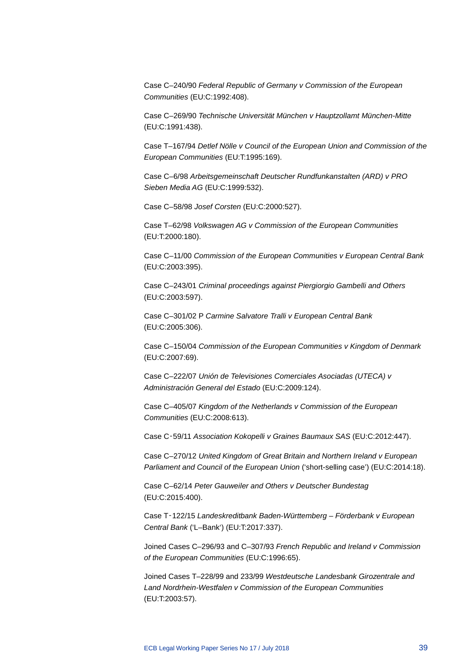Case C–240/90 *Federal Republic of Germany v Commission of the European Communities* (EU:C:1992:408).

Case C–269/90 *Technische Universität München v Hauptzollamt München-Mitte*  (EU:C:1991:438).

Case T–167/94 *Detlef Nölle v Council of the European Union and Commission of the European Communities* (EU:T:1995:169).

Case C–6/98 *Arbeitsgemeinschaft Deutscher Rundfunkanstalten (ARD) v PRO Sieben Media AG* (EU:C:1999:532).

Case C–58/98 *Josef Corsten* (EU:C:2000:527).

Case T–62/98 *Volkswagen AG v Commission of the European Communities* (EU:T:2000:180).

Case C–11/00 *Commission of the European Communities v European Central Bank* (EU:C:2003:395).

Case C–243/01 *Criminal proceedings against Piergiorgio Gambelli and Others* (EU:C:2003:597).

Case C–301/02 P *Carmine Salvatore Tralli v European Central Bank* (EU:C:2005:306).

Case C–150/04 *Commission of the European Communities v Kingdom of Denmark* (EU:C:2007:69).

Case C–222/07 *Unión de Televisiones Comerciales Asociadas (UTECA) v Administración General del Estado* (EU:C:2009:124).

Case C–405/07 *Kingdom of the Netherlands v Commission of the European Communities* (EU:C:2008:613).

Case C‑59/11 *Association Kokopelli v Graines Baumaux SAS* (EU:C:2012:447).

Case C–270/12 *United Kingdom of Great Britain and Northern Ireland v European Parliament and Council of the European Union* ('short-selling case') (EU:C:2014:18).

Case C–62/14 *Peter Gauweiler and Others v Deutscher Bundestag*  (EU:C:2015:400).

Case T‑122/15 *Landeskreditbank Baden-Württemberg – Förderbank v European Central Bank* ('L–Bank') (EU:T:2017:337).

Joined Cases C–296/93 and C–307/93 *French Republic and Ireland v Commission of the European Communities* (EU:C:1996:65).

Joined Cases T–228/99 and 233/99 *Westdeutsche Landesbank Girozentrale and Land Nordrhein-Westfalen v Commission of the European Communities* (EU:T:2003:57).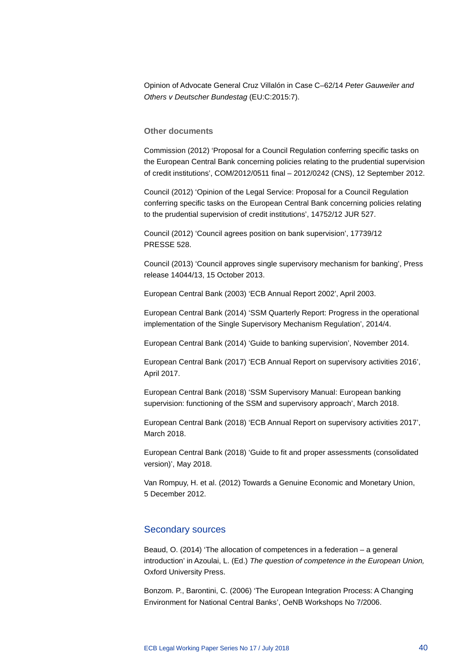Opinion of Advocate General Cruz Villalón in Case C–62/14 *Peter Gauweiler and Others v Deutscher Bundestag* (EU:C:2015:7).

#### **Other documents**

Commission (2012) 'Proposal for a Council Regulation conferring specific tasks on the European Central Bank concerning policies relating to the prudential supervision of credit institutions', COM/2012/0511 final – 2012/0242 (CNS), 12 September 2012.

Council (2012) 'Opinion of the Legal Service: Proposal for a Council Regulation conferring specific tasks on the European Central Bank concerning policies relating to the prudential supervision of credit institutions', 14752/12 JUR 527.

Council (2012) 'Council agrees position on bank supervision', 17739/12 PRESSE 528.

Council (2013) 'Council approves single supervisory mechanism for banking', Press release 14044/13, 15 October 2013.

European Central Bank (2003) 'ECB Annual Report 2002', April 2003.

European Central Bank (2014) 'SSM Quarterly Report: Progress in the operational implementation of the Single Supervisory Mechanism Regulation', 2014/4.

European Central Bank (2014) 'Guide to banking supervision', November 2014.

European Central Bank (2017) 'ECB Annual Report on supervisory activities 2016', April 2017.

European Central Bank (2018) 'SSM Supervisory Manual: European banking supervision: functioning of the SSM and supervisory approach', March 2018.

European Central Bank (2018) 'ECB Annual Report on supervisory activities 2017', March 2018.

European Central Bank (2018) 'Guide to fit and proper assessments (consolidated version)', May 2018.

Van Rompuy, H. et al. (2012) Towards a Genuine Economic and Monetary Union, 5 December 2012.

### Secondary sources

Beaud, O. (2014) 'The allocation of competences in a federation – a general introduction' in Azoulai, L. (Ed.) *The question of competence in the European Union,* Oxford University Press.

Bonzom. P., Barontini, C. (2006) 'The European Integration Process: A Changing Environment for National Central Banks', OeNB Workshops No 7/2006.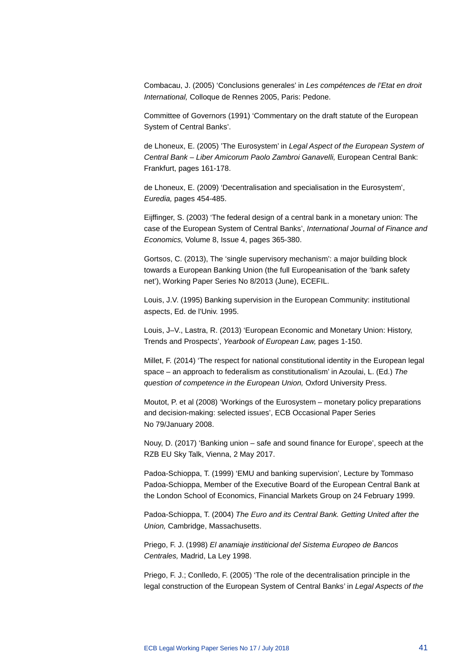Combacau, J. (2005) 'Conclusions generales' in *Les compétences de l'Etat en droit International,* Colloque de Rennes 2005, Paris: Pedone.

Committee of Governors (1991) 'Commentary on the draft statute of the European System of Central Banks'.

de Lhoneux, E. (2005) 'The Eurosystem' in *Legal Aspect of the European System of Central Bank – Liber Amicorum Paolo Zambroi Ganavelli,* European Central Bank: Frankfurt, pages 161-178.

de Lhoneux, E. (2009) 'Decentralisation and specialisation in the Eurosystem', *Euredia,* pages 454-485.

Eijffinger, S. (2003) 'The federal design of a central bank in a monetary union: The case of the European System of Central Banks', *International Journal of Finance and Economics,* Volume 8, Issue 4, pages 365-380.

Gortsos, C. (2013), The 'single supervisory mechanism': a major building block towards a European Banking Union (the full Europeanisation of the 'bank safety net'), Working Paper Series No 8/2013 (June), ECEFIL.

Louis, J.V. (1995) Banking supervision in the European Community: institutional aspects, Ed. de l'Univ. 1995.

Louis, J–V., Lastra, R. (2013) 'European Economic and Monetary Union: History, Trends and Prospects', *Yearbook of European Law,* pages 1-150.

Millet, F. (2014) 'The respect for national constitutional identity in the European legal space – an approach to federalism as constitutionalism' in Azoulai, L. (Ed.) *The question of competence in the European Union,* Oxford University Press.

Moutot, P. et al (2008) 'Workings of the Eurosystem – monetary policy preparations and decision-making: selected issues', ECB Occasional Paper Series No 79/January 2008.

Nouy, D. (2017) 'Banking union – safe and sound finance for Europe', speech at the RZB EU Sky Talk, Vienna, 2 May 2017.

Padoa-Schioppa, T. (1999) 'EMU and banking supervision', Lecture by Tommaso Padoa-Schioppa, Member of the Executive Board of the European Central Bank at the London School of Economics, Financial Markets Group on 24 February 1999.

Padoa-Schioppa, T. (2004) *The Euro and its Central Bank. Getting United after the Union,* Cambridge, Massachusetts.

Priego, F. J. (1998) *El anamiaje institicional del Sistema Europeo de Bancos Centrales,* Madrid, La Ley 1998.

Priego, F. J.; Conlledo, F. (2005) 'The role of the decentralisation principle in the legal construction of the European System of Central Banks' in *Legal Aspects of the*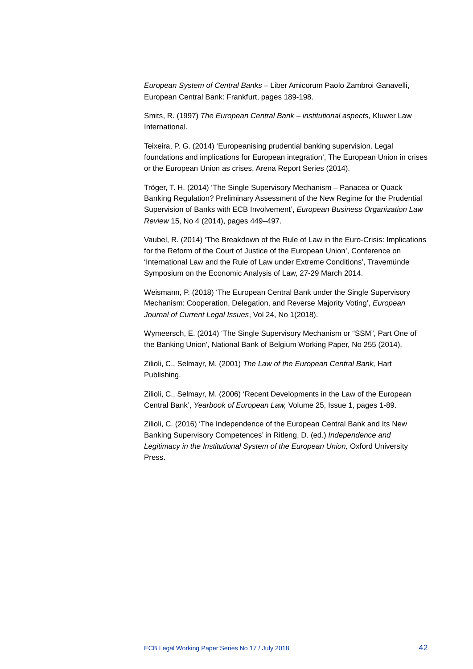*European System of Central Banks* – Liber Amicorum Paolo Zambroi Ganavelli, European Central Bank: Frankfurt, pages 189-198.

Smits, R. (1997) *The European Central Bank – institutional aspects,* Kluwer Law International.

Teixeira, P. G. (2014) 'Europeanising prudential banking supervision. Legal foundations and implications for European integration', The European Union in crises or the European Union as crises, Arena Report Series (2014).

Tröger, T. H. (2014) 'The Single Supervisory Mechanism – Panacea or Quack Banking Regulation? Preliminary Assessment of the New Regime for the Prudential Supervision of Banks with ECB Involvement', *European Business Organization Law Review* 15, No 4 (2014), pages 449–497.

Vaubel, R. (2014) 'The Breakdown of the Rule of Law in the Euro-Crisis: Implications for the Reform of the Court of Justice of the European Union', Conference on 'International Law and the Rule of Law under Extreme Conditions', Travemünde Symposium on the Economic Analysis of Law, 27-29 March 2014.

Weismann, P. (2018) 'The European Central Bank under the Single Supervisory Mechanism: Cooperation, Delegation, and Reverse Majority Voting', *European Journal of Current Legal Issues*, Vol 24, No 1(2018).

Wymeersch, E. (2014) 'The Single Supervisory Mechanism or "SSM", Part One of the Banking Union', National Bank of Belgium Working Paper, No 255 (2014).

Zilioli, C., Selmayr, M. (2001) *The Law of the European Central Bank,* Hart Publishing.

Zilioli, C., Selmayr, M. (2006) 'Recent Developments in the Law of the European Central Bank', *Yearbook of European Law,* Volume 25, Issue 1, pages 1-89.

Zilioli, C. (2016) 'The Independence of the European Central Bank and Its New Banking Supervisory Competences' in Ritleng, D. (ed.) *Independence and Legitimacy in the Institutional System of the European Union,* Oxford University Press.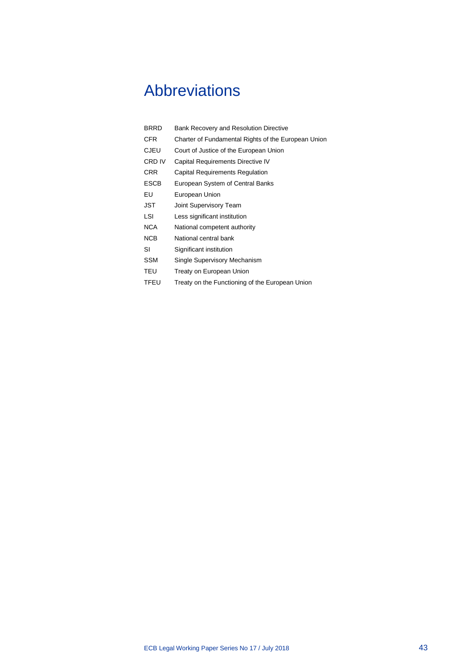# <span id="page-43-0"></span>Abbreviations

| BRRD        | Bank Recovery and Resolution Directive              |
|-------------|-----------------------------------------------------|
| CFR.        | Charter of Fundamental Rights of the European Union |
| CJEU        | Court of Justice of the European Union              |
| CRD IV      | Capital Requirements Directive IV                   |
| CRR         | Capital Requirements Regulation                     |
| <b>ESCB</b> | European System of Central Banks                    |
| EU          | European Union                                      |
| JST         | Joint Supervisory Team                              |
| LSI         | Less significant institution                        |
| NCA         | National competent authority                        |
| <b>NCB</b>  | National central bank                               |
| SI          | Significant institution                             |
| SSM         | Single Supervisory Mechanism                        |
| TEU         | Treaty on European Union                            |
| <b>TFEU</b> | Treaty on the Functioning of the European Union     |
|             |                                                     |